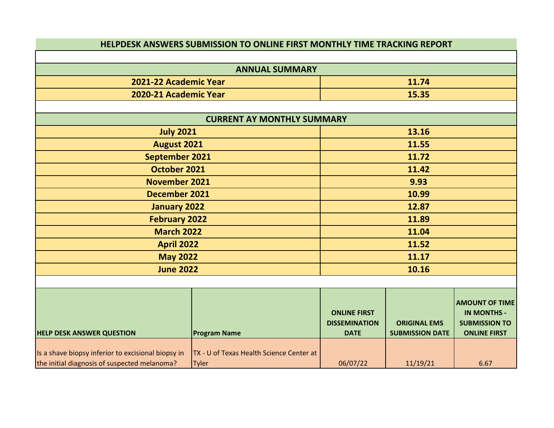|                                                                                                    | HELPDESK ANSWERS SUBMISSION TO ONLINE FIRST MONTHLY TIME TRACKING REPORT |                                                            |                                               |                                                                                            |
|----------------------------------------------------------------------------------------------------|--------------------------------------------------------------------------|------------------------------------------------------------|-----------------------------------------------|--------------------------------------------------------------------------------------------|
|                                                                                                    |                                                                          |                                                            |                                               |                                                                                            |
|                                                                                                    | <b>ANNUAL SUMMARY</b>                                                    |                                                            |                                               |                                                                                            |
| 2021-22 Academic Year                                                                              |                                                                          |                                                            | 11.74                                         |                                                                                            |
| 2020-21 Academic Year                                                                              |                                                                          |                                                            | 15.35                                         |                                                                                            |
|                                                                                                    |                                                                          |                                                            |                                               |                                                                                            |
|                                                                                                    | <b>CURRENT AY MONTHLY SUMMARY</b>                                        |                                                            |                                               |                                                                                            |
| <b>July 2021</b>                                                                                   |                                                                          |                                                            | 13.16                                         |                                                                                            |
| August 2021                                                                                        |                                                                          |                                                            | 11.55                                         |                                                                                            |
| September 2021                                                                                     |                                                                          |                                                            | 11.72                                         |                                                                                            |
| October 2021                                                                                       |                                                                          |                                                            | 11.42                                         |                                                                                            |
| <b>November 2021</b>                                                                               |                                                                          | 9.93                                                       |                                               |                                                                                            |
| <b>December 2021</b>                                                                               |                                                                          | 10.99                                                      |                                               |                                                                                            |
| <b>January 2022</b>                                                                                |                                                                          | 12.87                                                      |                                               |                                                                                            |
| <b>February 2022</b>                                                                               |                                                                          | 11.89                                                      |                                               |                                                                                            |
| <b>March 2022</b>                                                                                  |                                                                          | 11.04                                                      |                                               |                                                                                            |
| <b>April 2022</b>                                                                                  |                                                                          | 11.52                                                      |                                               |                                                                                            |
| <b>May 2022</b>                                                                                    |                                                                          | 11.17                                                      |                                               |                                                                                            |
| <b>June 2022</b>                                                                                   |                                                                          |                                                            | 10.16                                         |                                                                                            |
|                                                                                                    |                                                                          |                                                            |                                               |                                                                                            |
| <b>HELP DESK ANSWER QUESTION</b>                                                                   | <b>Program Name</b>                                                      | <b>ONLINE FIRST</b><br><b>DISSEMINATION</b><br><b>DATE</b> | <b>ORIGINAL EMS</b><br><b>SUBMISSION DATE</b> | <b>AMOUNT OF TIME</b><br><b>IN MONTHS -</b><br><b>SUBMISSION TO</b><br><b>ONLINE FIRST</b> |
|                                                                                                    |                                                                          |                                                            |                                               |                                                                                            |
| Is a shave biopsy inferior to excisional biopsy in<br>the initial diagnosis of suspected melanoma? | TX - U of Texas Health Science Center at<br><b>Tyler</b>                 | 06/07/22                                                   | 11/19/21                                      | 6.67                                                                                       |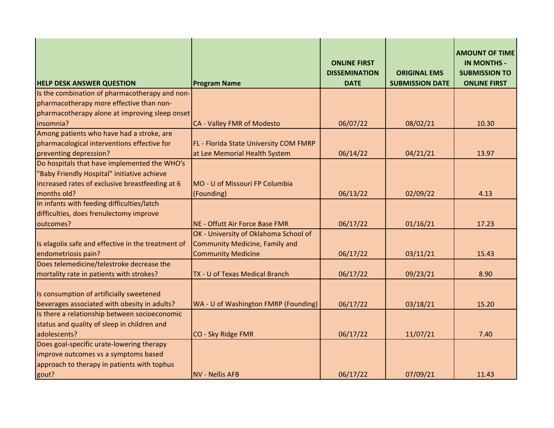| <b>HELP DESK ANSWER QUESTION</b>                   | <b>Program Name</b>                    | <b>ONLINE FIRST</b><br><b>DISSEMINATION</b><br><b>DATE</b> | <b>ORIGINAL EMS</b><br><b>SUBMISSION DATE</b> | <b>AMOUNT OF TIME</b><br><b>IN MONTHS -</b><br><b>SUBMISSION TO</b><br><b>ONLINE FIRST</b> |
|----------------------------------------------------|----------------------------------------|------------------------------------------------------------|-----------------------------------------------|--------------------------------------------------------------------------------------------|
| Is the combination of pharmacotherapy and non-     |                                        |                                                            |                                               |                                                                                            |
| pharmacotherapy more effective than non-           |                                        |                                                            |                                               |                                                                                            |
| pharmacotherapy alone at improving sleep onset     |                                        |                                                            |                                               |                                                                                            |
| insomnia?                                          | CA - Valley FMR of Modesto             | 06/07/22                                                   | 08/02/21                                      | 10.30                                                                                      |
| Among patients who have had a stroke, are          |                                        |                                                            |                                               |                                                                                            |
| pharmacological interventions effective for        | FL - Florida State University COM FMRP |                                                            |                                               |                                                                                            |
| preventing depression?                             | at Lee Memorial Health System          | 06/14/22                                                   | 04/21/21                                      | 13.97                                                                                      |
| Do hospitals that have implemented the WHO's       |                                        |                                                            |                                               |                                                                                            |
| "Baby Friendly Hospital" initiative achieve        |                                        |                                                            |                                               |                                                                                            |
| increased rates of exclusive breastfeeding at 6    | MO - U of Missouri FP Columbia         |                                                            |                                               |                                                                                            |
| months old?                                        | (Founding)                             | 06/13/22                                                   | 02/09/22                                      | 4.13                                                                                       |
| In infants with feeding difficulties/latch         |                                        |                                                            |                                               |                                                                                            |
| difficulties, does frenulectomy improve            |                                        |                                                            |                                               |                                                                                            |
| outcomes?                                          | NE - Offutt Air Force Base FMR         | 06/17/22                                                   | 01/16/21                                      | 17.23                                                                                      |
|                                                    | OK - University of Oklahoma School of  |                                                            |                                               |                                                                                            |
| Is elagolix safe and effective in the treatment of | <b>Community Medicine, Family and</b>  |                                                            |                                               |                                                                                            |
| endometriosis pain?                                | <b>Community Medicine</b>              | 06/17/22                                                   | 03/11/21                                      | 15.43                                                                                      |
| Does telemedicine/telestroke decrease the          |                                        |                                                            |                                               |                                                                                            |
| mortality rate in patients with strokes?           | TX - U of Texas Medical Branch         | 06/17/22                                                   | 09/23/21                                      | 8.90                                                                                       |
| Is consumption of artificially sweetened           |                                        |                                                            |                                               |                                                                                            |
| beverages associated with obesity in adults?       | WA - U of Washington FMRP (Founding)   | 06/17/22                                                   | 03/18/21                                      | 15.20                                                                                      |
| Is there a relationship between socioeconomic      |                                        |                                                            |                                               |                                                                                            |
| status and quality of sleep in children and        |                                        |                                                            |                                               |                                                                                            |
| adolescents?                                       | CO - Sky Ridge FMR                     | 06/17/22                                                   | 11/07/21                                      | 7.40                                                                                       |
| Does goal-specific urate-lowering therapy          |                                        |                                                            |                                               |                                                                                            |
| improve outcomes vs a symptoms based               |                                        |                                                            |                                               |                                                                                            |
| approach to therapy in patients with tophus        |                                        |                                                            |                                               |                                                                                            |
| gout?                                              | <b>NV - Nellis AFB</b>                 | 06/17/22                                                   | 07/09/21                                      | 11.43                                                                                      |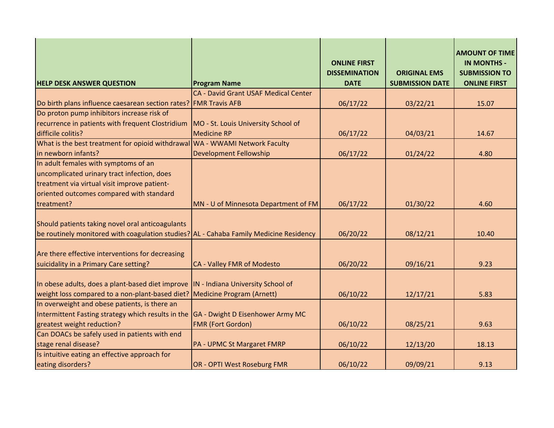|                                                                                        |                                      | <b>ONLINE FIRST</b><br><b>DISSEMINATION</b> | <b>ORIGINAL EMS</b>    | <b>AMOUNT OF TIME</b><br><b>IN MONTHS -</b><br><b>SUBMISSION TO</b> |
|----------------------------------------------------------------------------------------|--------------------------------------|---------------------------------------------|------------------------|---------------------------------------------------------------------|
| <b>HELP DESK ANSWER QUESTION</b>                                                       | <b>Program Name</b>                  | <b>DATE</b>                                 | <b>SUBMISSION DATE</b> | <b>ONLINE FIRST</b>                                                 |
|                                                                                        | CA - David Grant USAF Medical Center |                                             |                        |                                                                     |
| Do birth plans influence caesarean section rates? FMR Travis AFB                       |                                      | 06/17/22                                    | 03/22/21               | 15.07                                                               |
| Do proton pump inhibitors increase risk of                                             |                                      |                                             |                        |                                                                     |
| recurrence in patients with frequent Clostridium                                       | MO - St. Louis University School of  |                                             |                        |                                                                     |
| difficile colitis?                                                                     | <b>Medicine RP</b>                   | 06/17/22                                    | 04/03/21               | 14.67                                                               |
| What is the best treatment for opioid withdrawal                                       | WA - WWAMI Network Faculty           |                                             |                        |                                                                     |
| in newborn infants?                                                                    | <b>Development Fellowship</b>        | 06/17/22                                    | 01/24/22               | 4.80                                                                |
| In adult females with symptoms of an                                                   |                                      |                                             |                        |                                                                     |
| uncomplicated urinary tract infection, does                                            |                                      |                                             |                        |                                                                     |
| treatment via virtual visit improve patient-                                           |                                      |                                             |                        |                                                                     |
| oriented outcomes compared with standard                                               |                                      |                                             |                        |                                                                     |
| treatment?                                                                             | MN - U of Minnesota Department of FM | 06/17/22                                    | 01/30/22               | 4.60                                                                |
|                                                                                        |                                      |                                             |                        |                                                                     |
| Should patients taking novel oral anticoagulants                                       |                                      |                                             |                        |                                                                     |
| be routinely monitored with coagulation studies? AL - Cahaba Family Medicine Residency |                                      | 06/20/22                                    | 08/12/21               | 10.40                                                               |
|                                                                                        |                                      |                                             |                        |                                                                     |
| Are there effective interventions for decreasing                                       |                                      |                                             |                        |                                                                     |
| suicidality in a Primary Care setting?                                                 | CA - Valley FMR of Modesto           | 06/20/22                                    | 09/16/21               | 9.23                                                                |
|                                                                                        |                                      |                                             |                        |                                                                     |
| In obese adults, does a plant-based diet improve                                       | IN - Indiana University School of    |                                             |                        |                                                                     |
| weight loss compared to a non-plant-based diet? Medicine Program (Arnett)              |                                      | 06/10/22                                    | 12/17/21               | 5.83                                                                |
| In overweight and obese patients, is there an                                          |                                      |                                             |                        |                                                                     |
| Intermittent Fasting strategy which results in the                                     | GA - Dwight D Eisenhower Army MC     |                                             |                        |                                                                     |
| greatest weight reduction?                                                             | <b>FMR (Fort Gordon)</b>             | 06/10/22                                    | 08/25/21               | 9.63                                                                |
| Can DOACs be safely used in patients with end                                          |                                      |                                             |                        |                                                                     |
| stage renal disease?                                                                   | <b>PA - UPMC St Margaret FMRP</b>    | 06/10/22                                    | 12/13/20               | 18.13                                                               |
| Is intuitive eating an effective approach for                                          |                                      |                                             |                        |                                                                     |
| eating disorders?                                                                      | <b>OR - OPTI West Roseburg FMR</b>   | 06/10/22                                    | 09/09/21               | 9.13                                                                |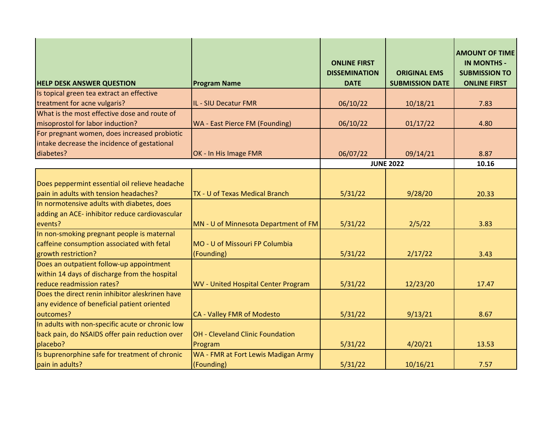| <b>HELP DESK ANSWER QUESTION</b>                 | <b>Program Name</b>                        | <b>ONLINE FIRST</b><br><b>DISSEMINATION</b><br><b>DATE</b> | <b>ORIGINAL EMS</b><br><b>SUBMISSION DATE</b> | <b>AMOUNT OF TIME</b><br><b>IN MONTHS -</b><br><b>SUBMISSION TO</b><br><b>ONLINE FIRST</b> |
|--------------------------------------------------|--------------------------------------------|------------------------------------------------------------|-----------------------------------------------|--------------------------------------------------------------------------------------------|
| Is topical green tea extract an effective        |                                            |                                                            |                                               |                                                                                            |
| treatment for acne vulgaris?                     | IL - SIU Decatur FMR                       | 06/10/22                                                   | 10/18/21                                      | 7.83                                                                                       |
| What is the most effective dose and route of     |                                            |                                                            |                                               |                                                                                            |
| misoprostol for labor induction?                 | WA - East Pierce FM (Founding)             | 06/10/22                                                   | 01/17/22                                      | 4.80                                                                                       |
| For pregnant women, does increased probiotic     |                                            |                                                            |                                               |                                                                                            |
| intake decrease the incidence of gestational     |                                            |                                                            |                                               |                                                                                            |
| diabetes?                                        | OK - In His Image FMR                      | 06/07/22                                                   | 09/14/21                                      | 8.87                                                                                       |
|                                                  |                                            |                                                            | <b>JUNE 2022</b>                              | 10.16                                                                                      |
|                                                  |                                            |                                                            |                                               |                                                                                            |
| Does peppermint essential oil relieve headache   |                                            |                                                            |                                               |                                                                                            |
| pain in adults with tension headaches?           | TX - U of Texas Medical Branch             | 5/31/22                                                    | 9/28/20                                       | 20.33                                                                                      |
| In normotensive adults with diabetes, does       |                                            |                                                            |                                               |                                                                                            |
| adding an ACE- inhibitor reduce cardiovascular   |                                            |                                                            |                                               |                                                                                            |
| events?                                          | MN - U of Minnesota Department of FM       | 5/31/22                                                    | 2/5/22                                        | 3.83                                                                                       |
| In non-smoking pregnant people is maternal       |                                            |                                                            |                                               |                                                                                            |
| caffeine consumption associated with fetal       | MO - U of Missouri FP Columbia             |                                                            |                                               |                                                                                            |
| growth restriction?                              | (Founding)                                 | 5/31/22                                                    | 2/17/22                                       | 3.43                                                                                       |
| Does an outpatient follow-up appointment         |                                            |                                                            |                                               |                                                                                            |
| within 14 days of discharge from the hospital    |                                            |                                                            |                                               |                                                                                            |
| reduce readmission rates?                        | <b>WV</b> - United Hospital Center Program | 5/31/22                                                    | 12/23/20                                      | 17.47                                                                                      |
| Does the direct renin inhibitor aleskrinen have  |                                            |                                                            |                                               |                                                                                            |
| any evidence of beneficial patient oriented      |                                            |                                                            |                                               |                                                                                            |
| outcomes?                                        | CA - Valley FMR of Modesto                 | 5/31/22                                                    | 9/13/21                                       | 8.67                                                                                       |
| In adults with non-specific acute or chronic low |                                            |                                                            |                                               |                                                                                            |
| back pain, do NSAIDS offer pain reduction over   | OH - Cleveland Clinic Foundation           |                                                            |                                               |                                                                                            |
| placebo?                                         | Program                                    | 5/31/22                                                    | 4/20/21                                       | 13.53                                                                                      |
| Is buprenorphine safe for treatment of chronic   | WA - FMR at Fort Lewis Madigan Army        |                                                            |                                               |                                                                                            |
| pain in adults?                                  | (Founding)                                 | 5/31/22                                                    | 10/16/21                                      | 7.57                                                                                       |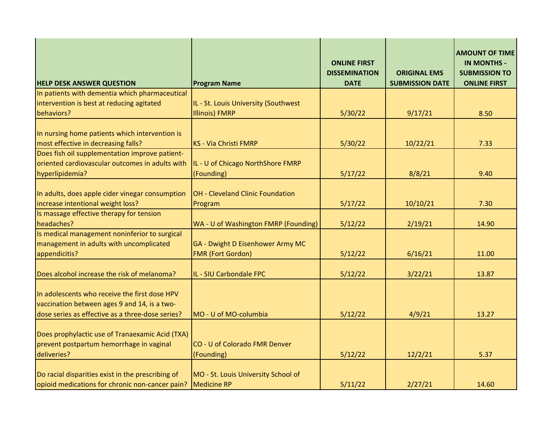| <b>HELP DESK ANSWER QUESTION</b>                                                                                                                  | <b>Program Name</b>                                          | <b>ONLINE FIRST</b><br><b>DISSEMINATION</b><br><b>DATE</b> | <b>ORIGINAL EMS</b><br><b>SUBMISSION DATE</b> | <b>AMOUNT OF TIME</b><br><b>IN MONTHS -</b><br><b>SUBMISSION TO</b><br><b>ONLINE FIRST</b> |
|---------------------------------------------------------------------------------------------------------------------------------------------------|--------------------------------------------------------------|------------------------------------------------------------|-----------------------------------------------|--------------------------------------------------------------------------------------------|
| In patients with dementia which pharmaceutical                                                                                                    |                                                              |                                                            |                                               |                                                                                            |
| intervention is best at reducing agitated                                                                                                         | IL - St. Louis University (Southwest                         |                                                            |                                               |                                                                                            |
| behaviors?                                                                                                                                        | <b>Illinois) FMRP</b>                                        | 5/30/22                                                    | 9/17/21                                       | 8.50                                                                                       |
| In nursing home patients which intervention is<br>most effective in decreasing falls?                                                             | <b>KS - Via Christi FMRP</b>                                 | 5/30/22                                                    | 10/22/21                                      | 7.33                                                                                       |
| Does fish oil supplementation improve patient-                                                                                                    |                                                              |                                                            |                                               |                                                                                            |
| oriented cardiovascular outcomes in adults with                                                                                                   | IL - U of Chicago NorthShore FMRP                            |                                                            |                                               |                                                                                            |
| hyperlipidemia?                                                                                                                                   | (Founding)                                                   | 5/17/22                                                    | 8/8/21                                        | 9.40                                                                                       |
| In adults, does apple cider vinegar consumption<br>increase intentional weight loss?                                                              | OH - Cleveland Clinic Foundation<br>Program                  | 5/17/22                                                    | 10/10/21                                      | 7.30                                                                                       |
| Is massage effective therapy for tension                                                                                                          |                                                              |                                                            |                                               |                                                                                            |
| headaches?                                                                                                                                        | WA - U of Washington FMRP (Founding)                         | 5/12/22                                                    | 2/19/21                                       | 14.90                                                                                      |
| Is medical management noninferior to surgical<br>management in adults with uncomplicated<br>appendicitis?                                         | GA - Dwight D Eisenhower Army MC<br><b>FMR (Fort Gordon)</b> | 5/12/22                                                    | 6/16/21                                       | 11.00                                                                                      |
| Does alcohol increase the risk of melanoma?                                                                                                       | IL - SIU Carbondale FPC                                      | 5/12/22                                                    | 3/22/21                                       | 13.87                                                                                      |
| In adolescents who receive the first dose HPV<br>vaccination between ages 9 and 14, is a two-<br>dose series as effective as a three-dose series? | MO - U of MO-columbia                                        | 5/12/22                                                    | 4/9/21                                        | 13.27                                                                                      |
| Does prophylactic use of Tranaexamic Acid (TXA)<br>prevent postpartum hemorrhage in vaginal<br>deliveries?                                        | CO - U of Colorado FMR Denver<br>(Founding)                  | 5/12/22                                                    | 12/2/21                                       | 5.37                                                                                       |
| Do racial disparities exist in the prescribing of<br>opioid medications for chronic non-cancer pain?                                              | MO - St. Louis University School of<br><b>Medicine RP</b>    | 5/11/22                                                    | 2/27/21                                       | 14.60                                                                                      |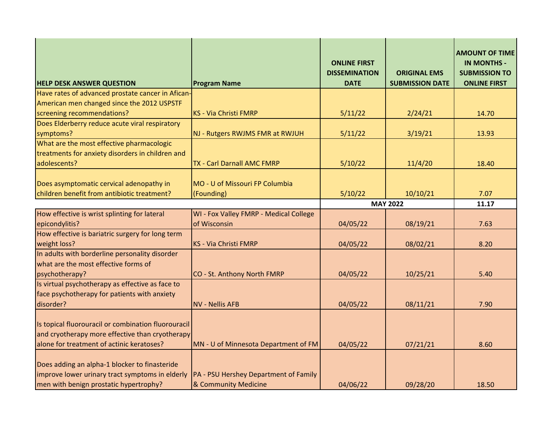| <b>HELP DESK ANSWER QUESTION</b>                                                                                                                    | <b>Program Name</b>                                           | <b>ONLINE FIRST</b><br><b>DISSEMINATION</b><br><b>DATE</b> | <b>ORIGINAL EMS</b><br><b>SUBMISSION DATE</b> | <b>AMOUNT OF TIME</b><br><b>IN MONTHS -</b><br><b>SUBMISSION TO</b><br><b>ONLINE FIRST</b> |
|-----------------------------------------------------------------------------------------------------------------------------------------------------|---------------------------------------------------------------|------------------------------------------------------------|-----------------------------------------------|--------------------------------------------------------------------------------------------|
| Have rates of advanced prostate cancer in Afican-                                                                                                   |                                                               |                                                            |                                               |                                                                                            |
| American men changed since the 2012 USPSTF                                                                                                          |                                                               |                                                            |                                               |                                                                                            |
| screening recommendations?                                                                                                                          | <b>KS - Via Christi FMRP</b>                                  | 5/11/22                                                    | 2/24/21                                       | 14.70                                                                                      |
| Does Elderberry reduce acute viral respiratory                                                                                                      |                                                               |                                                            |                                               |                                                                                            |
| symptoms?                                                                                                                                           | NJ - Rutgers RWJMS FMR at RWJUH                               | 5/11/22                                                    | 3/19/21                                       | 13.93                                                                                      |
| What are the most effective pharmacologic                                                                                                           |                                                               |                                                            |                                               |                                                                                            |
| treatments for anxiety disorders in children and                                                                                                    |                                                               |                                                            |                                               |                                                                                            |
| adolescents?                                                                                                                                        | TX - Carl Darnall AMC FMRP                                    | 5/10/22                                                    | 11/4/20                                       | 18.40                                                                                      |
| Does asymptomatic cervical adenopathy in                                                                                                            | MO - U of Missouri FP Columbia                                |                                                            |                                               |                                                                                            |
| children benefit from antibiotic treatment?                                                                                                         | (Founding)                                                    | 5/10/22                                                    | 10/10/21                                      | 7.07                                                                                       |
|                                                                                                                                                     |                                                               | <b>MAY 2022</b>                                            |                                               | 11.17                                                                                      |
| How effective is wrist splinting for lateral                                                                                                        | WI - Fox Valley FMRP - Medical College                        |                                                            |                                               |                                                                                            |
| epicondylitis?                                                                                                                                      | of Wisconsin                                                  | 04/05/22                                                   | 08/19/21                                      | 7.63                                                                                       |
| How effective is bariatric surgery for long term                                                                                                    |                                                               |                                                            |                                               |                                                                                            |
| weight loss?                                                                                                                                        | <b>KS - Via Christi FMRP</b>                                  | 04/05/22                                                   | 08/02/21                                      | 8.20                                                                                       |
| In adults with borderline personality disorder                                                                                                      |                                                               |                                                            |                                               |                                                                                            |
| what are the most effective forms of                                                                                                                |                                                               |                                                            |                                               |                                                                                            |
| psychotherapy?<br>Is virtual psychotherapy as effective as face to                                                                                  | CO - St. Anthony North FMRP                                   | 04/05/22                                                   | 10/25/21                                      | 5.40                                                                                       |
| face psychotherapy for patients with anxiety                                                                                                        |                                                               |                                                            |                                               |                                                                                            |
| disorder?                                                                                                                                           | <b>NV - Nellis AFB</b>                                        | 04/05/22                                                   | 08/11/21                                      | 7.90                                                                                       |
|                                                                                                                                                     |                                                               |                                                            |                                               |                                                                                            |
| Is topical fluorouracil or combination fluorouracil<br>and cryotherapy more effective than cryotherapy<br>alone for treatment of actinic keratoses? | MN - U of Minnesota Department of FM                          | 04/05/22                                                   | 07/21/21                                      | 8.60                                                                                       |
| Does adding an alpha-1 blocker to finasteride<br>improve lower urinary tract symptoms in elderly<br>men with benign prostatic hypertrophy?          | PA - PSU Hershey Department of Family<br>& Community Medicine | 04/06/22                                                   | 09/28/20                                      | 18.50                                                                                      |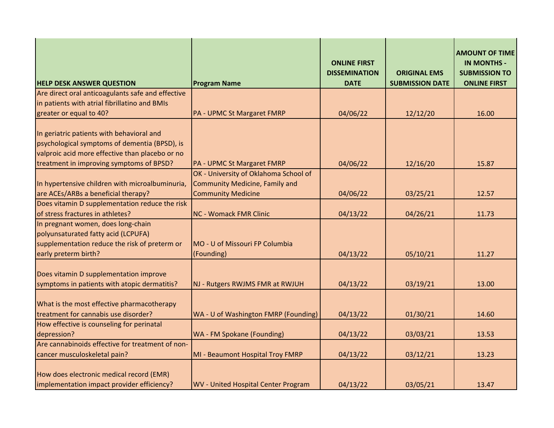| <b>HELP DESK ANSWER QUESTION</b>                                                                                                                                                          | <b>Program Name</b>                          | <b>ONLINE FIRST</b><br><b>DISSEMINATION</b><br><b>DATE</b> | <b>ORIGINAL EMS</b><br><b>SUBMISSION DATE</b> | <b>AMOUNT OF TIME</b><br><b>IN MONTHS -</b><br><b>SUBMISSION TO</b><br><b>ONLINE FIRST</b> |
|-------------------------------------------------------------------------------------------------------------------------------------------------------------------------------------------|----------------------------------------------|------------------------------------------------------------|-----------------------------------------------|--------------------------------------------------------------------------------------------|
| Are direct oral anticoagulants safe and effective                                                                                                                                         |                                              |                                                            |                                               |                                                                                            |
| in patients with atrial fibrillatino and BMIs                                                                                                                                             |                                              |                                                            |                                               |                                                                                            |
| greater or equal to 40?                                                                                                                                                                   | <b>PA - UPMC St Margaret FMRP</b>            | 04/06/22                                                   | 12/12/20                                      | 16.00                                                                                      |
| In geriatric patients with behavioral and<br>psychological symptoms of dementia (BPSD), is<br>valproic acid more effective than placebo or no<br>treatment in improving symptoms of BPSD? | PA - UPMC St Margaret FMRP                   | 04/06/22                                                   | 12/16/20                                      | 15.87                                                                                      |
|                                                                                                                                                                                           | OK - University of Oklahoma School of        |                                                            |                                               |                                                                                            |
| In hypertensive children with microalbuminuria,                                                                                                                                           | <b>Community Medicine, Family and</b>        |                                                            |                                               |                                                                                            |
| are ACEs/ARBs a beneficial therapy?                                                                                                                                                       | <b>Community Medicine</b>                    | 04/06/22                                                   | 03/25/21                                      | 12.57                                                                                      |
| Does vitamin D supplementation reduce the risk                                                                                                                                            |                                              |                                                            |                                               |                                                                                            |
| of stress fractures in athletes?                                                                                                                                                          | <b>NC - Womack FMR Clinic</b>                | 04/13/22                                                   | 04/26/21                                      | 11.73                                                                                      |
| In pregnant women, does long-chain<br>polyunsaturated fatty acid (LCPUFA)<br>supplementation reduce the risk of preterm or<br>early preterm birth?                                        | MO - U of Missouri FP Columbia<br>(Founding) | 04/13/22                                                   | 05/10/21                                      | 11.27                                                                                      |
| Does vitamin D supplementation improve<br>symptoms in patients with atopic dermatitis?                                                                                                    | NJ - Rutgers RWJMS FMR at RWJUH              | 04/13/22                                                   | 03/19/21                                      | 13.00                                                                                      |
| What is the most effective pharmacotherapy<br>treatment for cannabis use disorder?                                                                                                        | WA - U of Washington FMRP (Founding)         | 04/13/22                                                   | 01/30/21                                      | 14.60                                                                                      |
| How effective is counseling for perinatal                                                                                                                                                 |                                              |                                                            |                                               |                                                                                            |
| depression?                                                                                                                                                                               | WA - FM Spokane (Founding)                   | 04/13/22                                                   | 03/03/21                                      | 13.53                                                                                      |
| Are cannabinoids effective for treatment of non-                                                                                                                                          |                                              |                                                            |                                               |                                                                                            |
| cancer musculoskeletal pain?                                                                                                                                                              | MI - Beaumont Hospital Troy FMRP             | 04/13/22                                                   | 03/12/21                                      | 13.23                                                                                      |
| How does electronic medical record (EMR)<br>implementation impact provider efficiency?                                                                                                    | <b>WV</b> - United Hospital Center Program   | 04/13/22                                                   | 03/05/21                                      | 13.47                                                                                      |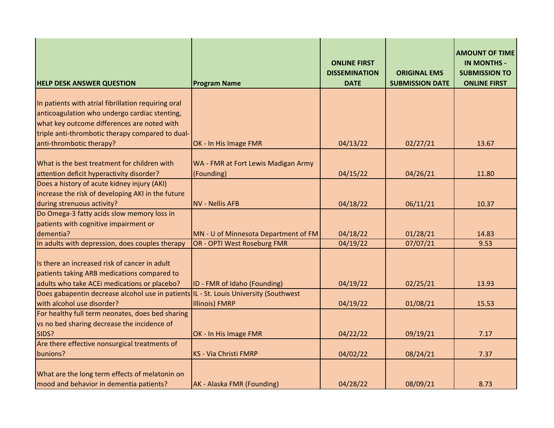| <b>HELP DESK ANSWER QUESTION</b>                                                      | <b>Program Name</b>                  | <b>ONLINE FIRST</b><br><b>DISSEMINATION</b><br><b>DATE</b> | <b>ORIGINAL EMS</b><br><b>SUBMISSION DATE</b> | <b>AMOUNT OF TIME</b><br><b>IN MONTHS -</b><br><b>SUBMISSION TO</b><br><b>ONLINE FIRST</b> |
|---------------------------------------------------------------------------------------|--------------------------------------|------------------------------------------------------------|-----------------------------------------------|--------------------------------------------------------------------------------------------|
|                                                                                       |                                      |                                                            |                                               |                                                                                            |
| In patients with atrial fibrillation requiring oral                                   |                                      |                                                            |                                               |                                                                                            |
| anticoagulation who undergo cardiac stenting,                                         |                                      |                                                            |                                               |                                                                                            |
| what key outcome differences are noted with                                           |                                      |                                                            |                                               |                                                                                            |
| triple anti-thrombotic therapy compared to dual-                                      |                                      |                                                            |                                               |                                                                                            |
| anti-thrombotic therapy?                                                              | OK - In His Image FMR                | 04/13/22                                                   | 02/27/21                                      | 13.67                                                                                      |
| What is the best treatment for children with                                          |                                      |                                                            |                                               |                                                                                            |
| attention deficit hyperactivity disorder?                                             | WA - FMR at Fort Lewis Madigan Army  |                                                            |                                               |                                                                                            |
| Does a history of acute kidney injury (AKI)                                           | (Founding)                           | 04/15/22                                                   | 04/26/21                                      | 11.80                                                                                      |
| increase the risk of developing AKI in the future                                     |                                      |                                                            |                                               |                                                                                            |
| during strenuous activity?                                                            | <b>NV - Nellis AFB</b>               |                                                            |                                               | 10.37                                                                                      |
| Do Omega-3 fatty acids slow memory loss in                                            |                                      | 04/18/22                                                   | 06/11/21                                      |                                                                                            |
| patients with cognitive impairment or                                                 |                                      |                                                            |                                               |                                                                                            |
| dementia?                                                                             |                                      |                                                            |                                               |                                                                                            |
| In adults with depression, does couples therapy                                       | MN - U of Minnesota Department of FM | 04/18/22<br>04/19/22                                       | 01/28/21<br>07/07/21                          | 14.83<br>9.53                                                                              |
|                                                                                       | OR - OPTI West Roseburg FMR          |                                                            |                                               |                                                                                            |
| Is there an increased risk of cancer in adult                                         |                                      |                                                            |                                               |                                                                                            |
| patients taking ARB medications compared to                                           |                                      |                                                            |                                               |                                                                                            |
| adults who take ACEi medications or placebo?                                          | ID - FMR of Idaho (Founding)         | 04/19/22                                                   | 02/25/21                                      | 13.93                                                                                      |
| Does gabapentin decrease alcohol use in patients IL - St. Louis University (Southwest |                                      |                                                            |                                               |                                                                                            |
| with alcohol use disorder?                                                            | <b>Illinois) FMRP</b>                | 04/19/22                                                   | 01/08/21                                      | 15.53                                                                                      |
| For healthy full term neonates, does bed sharing                                      |                                      |                                                            |                                               |                                                                                            |
| vs no bed sharing decrease the incidence of                                           |                                      |                                                            |                                               |                                                                                            |
| SIDS?                                                                                 | OK - In His Image FMR                | 04/22/22                                                   | 09/19/21                                      | 7.17                                                                                       |
| Are there effective nonsurgical treatments of                                         |                                      |                                                            |                                               |                                                                                            |
| bunions?                                                                              | <b>KS - Via Christi FMRP</b>         | 04/02/22                                                   | 08/24/21                                      | 7.37                                                                                       |
|                                                                                       |                                      |                                                            |                                               |                                                                                            |
| What are the long term effects of melatonin on                                        |                                      |                                                            |                                               |                                                                                            |
| mood and behavior in dementia patients?                                               | AK - Alaska FMR (Founding)           | 04/28/22                                                   | 08/09/21                                      | 8.73                                                                                       |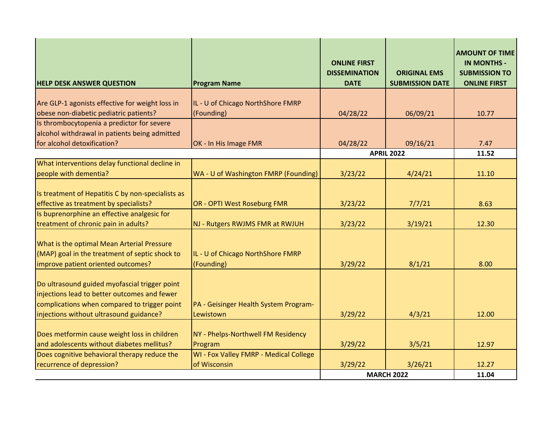| <b>HELP DESK ANSWER QUESTION</b>                                                                                                                                                         | <b>Program Name</b>                                | <b>ONLINE FIRST</b><br><b>DISSEMINATION</b><br><b>DATE</b> | <b>ORIGINAL EMS</b><br><b>SUBMISSION DATE</b> | <b>AMOUNT OF TIME</b><br><b>IN MONTHS -</b><br><b>SUBMISSION TO</b><br><b>ONLINE FIRST</b> |
|------------------------------------------------------------------------------------------------------------------------------------------------------------------------------------------|----------------------------------------------------|------------------------------------------------------------|-----------------------------------------------|--------------------------------------------------------------------------------------------|
|                                                                                                                                                                                          |                                                    |                                                            |                                               |                                                                                            |
| Are GLP-1 agonists effective for weight loss in                                                                                                                                          | IL - U of Chicago NorthShore FMRP                  |                                                            |                                               |                                                                                            |
| obese non-diabetic pediatric patients?                                                                                                                                                   | (Founding)                                         | 04/28/22                                                   | 06/09/21                                      | 10.77                                                                                      |
| Is thrombocytopenia a predictor for severe                                                                                                                                               |                                                    |                                                            |                                               |                                                                                            |
| alcohol withdrawal in patients being admitted<br>for alcohol detoxification?                                                                                                             | OK - In His Image FMR                              | 04/28/22                                                   | 09/16/21                                      | 7.47                                                                                       |
|                                                                                                                                                                                          |                                                    |                                                            | <b>APRIL 2022</b>                             | 11.52                                                                                      |
| What interventions delay functional decline in                                                                                                                                           |                                                    |                                                            |                                               |                                                                                            |
| people with dementia?                                                                                                                                                                    | WA - U of Washington FMRP (Founding)               | 3/23/22                                                    | 4/24/21                                       | 11.10                                                                                      |
|                                                                                                                                                                                          |                                                    |                                                            |                                               |                                                                                            |
| Is treatment of Hepatitis C by non-specialists as                                                                                                                                        |                                                    |                                                            |                                               |                                                                                            |
| effective as treatment by specialists?                                                                                                                                                   | OR - OPTI West Roseburg FMR                        | 3/23/22                                                    | 7/7/21                                        | 8.63                                                                                       |
| Is buprenorphine an effective analgesic for                                                                                                                                              |                                                    |                                                            |                                               |                                                                                            |
| treatment of chronic pain in adults?                                                                                                                                                     | NJ - Rutgers RWJMS FMR at RWJUH                    | 3/23/22                                                    | 3/19/21                                       | 12.30                                                                                      |
| What is the optimal Mean Arterial Pressure<br>(MAP) goal in the treatment of septic shock to<br>improve patient oriented outcomes?                                                       | IL - U of Chicago NorthShore FMRP<br>(Founding)    | 3/29/22                                                    | 8/1/21                                        | 8.00                                                                                       |
| Do ultrasound guided myofascial trigger point<br>injections lead to better outcomes and fewer<br>complications when compared to trigger point<br>injections without ultrasound guidance? | PA - Geisinger Health System Program-<br>Lewistown | 3/29/22                                                    | 4/3/21                                        | 12.00                                                                                      |
|                                                                                                                                                                                          |                                                    |                                                            |                                               |                                                                                            |
| Does metformin cause weight loss in children                                                                                                                                             | NY - Phelps-Northwell FM Residency                 |                                                            |                                               |                                                                                            |
| and adolescents without diabetes mellitus?                                                                                                                                               | Program                                            | 3/29/22                                                    | 3/5/21                                        | 12.97                                                                                      |
| Does cognitive behavioral therapy reduce the                                                                                                                                             | WI - Fox Valley FMRP - Medical College             |                                                            |                                               |                                                                                            |
| recurrence of depression?                                                                                                                                                                | of Wisconsin                                       | 3/29/22                                                    | 3/26/21                                       | 12.27                                                                                      |
|                                                                                                                                                                                          |                                                    |                                                            | <b>MARCH 2022</b>                             | 11.04                                                                                      |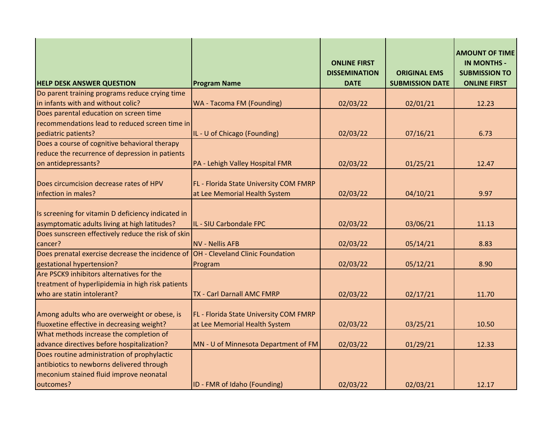| <b>HELP DESK ANSWER QUESTION</b>                                                                    | <b>Program Name</b>                                                     | <b>ONLINE FIRST</b><br><b>DISSEMINATION</b><br><b>DATE</b> | <b>ORIGINAL EMS</b><br><b>SUBMISSION DATE</b> | <b>AMOUNT OF TIME</b><br><b>IN MONTHS -</b><br><b>SUBMISSION TO</b><br><b>ONLINE FIRST</b> |
|-----------------------------------------------------------------------------------------------------|-------------------------------------------------------------------------|------------------------------------------------------------|-----------------------------------------------|--------------------------------------------------------------------------------------------|
| Do parent training programs reduce crying time                                                      |                                                                         |                                                            |                                               |                                                                                            |
| in infants with and without colic?                                                                  | WA - Tacoma FM (Founding)                                               | 02/03/22                                                   | 02/01/21                                      | 12.23                                                                                      |
| Does parental education on screen time                                                              |                                                                         |                                                            |                                               |                                                                                            |
| recommendations lead to reduced screen time in                                                      |                                                                         |                                                            |                                               |                                                                                            |
| pediatric patients?                                                                                 | IL - U of Chicago (Founding)                                            | 02/03/22                                                   | 07/16/21                                      | 6.73                                                                                       |
| Does a course of cognitive behavioral therapy                                                       |                                                                         |                                                            |                                               |                                                                                            |
| reduce the recurrence of depression in patients                                                     |                                                                         |                                                            |                                               |                                                                                            |
| on antidepressants?                                                                                 | PA - Lehigh Valley Hospital FMR                                         | 02/03/22                                                   | 01/25/21                                      | 12.47                                                                                      |
| Does circumcision decrease rates of HPV<br>infection in males?                                      | FL - Florida State University COM FMRP<br>at Lee Memorial Health System | 02/03/22                                                   | 04/10/21                                      | 9.97                                                                                       |
|                                                                                                     |                                                                         |                                                            |                                               |                                                                                            |
| Is screening for vitamin D deficiency indicated in<br>asymptomatic adults living at high latitudes? | IL - SIU Carbondale FPC                                                 | 02/03/22                                                   | 03/06/21                                      | 11.13                                                                                      |
| Does sunscreen effectively reduce the risk of skin                                                  |                                                                         |                                                            |                                               |                                                                                            |
| cancer?                                                                                             | <b>NV - Nellis AFB</b>                                                  | 02/03/22                                                   | 05/14/21                                      | 8.83                                                                                       |
| Does prenatal exercise decrease the incidence of                                                    | OH - Cleveland Clinic Foundation                                        |                                                            |                                               |                                                                                            |
| gestational hypertension?                                                                           | Program                                                                 | 02/03/22                                                   | 05/12/21                                      | 8.90                                                                                       |
| Are PSCK9 inhibitors alternatives for the                                                           |                                                                         |                                                            |                                               |                                                                                            |
| treatment of hyperlipidemia in high risk patients                                                   |                                                                         |                                                            |                                               |                                                                                            |
| who are statin intolerant?                                                                          | <b>TX - Carl Darnall AMC FMRP</b>                                       | 02/03/22                                                   | 02/17/21                                      | 11.70                                                                                      |
| Among adults who are overweight or obese, is<br>fluoxetine effective in decreasing weight?          | FL - Florida State University COM FMRP<br>at Lee Memorial Health System | 02/03/22                                                   | 03/25/21                                      | 10.50                                                                                      |
| What methods increase the completion of                                                             |                                                                         |                                                            |                                               |                                                                                            |
| advance directives before hospitalization?                                                          | MN - U of Minnesota Department of FM                                    | 02/03/22                                                   | 01/29/21                                      | 12.33                                                                                      |
| Does routine administration of prophylactic                                                         |                                                                         |                                                            |                                               |                                                                                            |
| antibiotics to newborns delivered through                                                           |                                                                         |                                                            |                                               |                                                                                            |
| meconium stained fluid improve neonatal                                                             |                                                                         |                                                            |                                               |                                                                                            |
| outcomes?                                                                                           | ID - FMR of Idaho (Founding)                                            | 02/03/22                                                   | 02/03/21                                      | 12.17                                                                                      |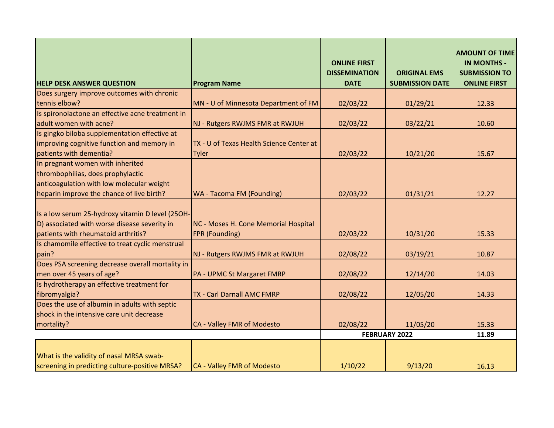| <b>HELP DESK ANSWER QUESTION</b>                                                                                                        | <b>Program Name</b>                                           | <b>ONLINE FIRST</b><br><b>DISSEMINATION</b><br><b>DATE</b> | <b>ORIGINAL EMS</b><br><b>SUBMISSION DATE</b> | <b>AMOUNT OF TIME</b><br><b>IN MONTHS -</b><br><b>SUBMISSION TO</b><br><b>ONLINE FIRST</b> |
|-----------------------------------------------------------------------------------------------------------------------------------------|---------------------------------------------------------------|------------------------------------------------------------|-----------------------------------------------|--------------------------------------------------------------------------------------------|
| Does surgery improve outcomes with chronic                                                                                              |                                                               |                                                            |                                               |                                                                                            |
| tennis elbow?                                                                                                                           | MN - U of Minnesota Department of FM                          | 02/03/22                                                   | 01/29/21                                      | 12.33                                                                                      |
| Is spironolactone an effective acne treatment in                                                                                        |                                                               |                                                            |                                               |                                                                                            |
| adult women with acne?                                                                                                                  | NJ - Rutgers RWJMS FMR at RWJUH                               | 02/03/22                                                   | 03/22/21                                      | 10.60                                                                                      |
| Is gingko biloba supplementation effective at                                                                                           |                                                               |                                                            |                                               |                                                                                            |
| improving cognitive function and memory in                                                                                              | TX - U of Texas Health Science Center at                      |                                                            |                                               |                                                                                            |
| patients with dementia?                                                                                                                 | <b>Tyler</b>                                                  | 02/03/22                                                   | 10/21/20                                      | 15.67                                                                                      |
| In pregnant women with inherited                                                                                                        |                                                               |                                                            |                                               |                                                                                            |
| thrombophilias, does prophylactic                                                                                                       |                                                               |                                                            |                                               |                                                                                            |
| anticoagulation with low molecular weight                                                                                               |                                                               |                                                            |                                               |                                                                                            |
| heparin improve the chance of live birth?                                                                                               | <b>WA - Tacoma FM (Founding)</b>                              | 02/03/22                                                   | 01/31/21                                      | 12.27                                                                                      |
| Is a low serum 25-hydroxy vitamin D level (250H-<br>D) associated with worse disease severity in<br>patients with rheumatoid arthritis? | NC - Moses H. Cone Memorial Hospital<br><b>FPR (Founding)</b> | 02/03/22                                                   | 10/31/20                                      | 15.33                                                                                      |
| Is chamomile effective to treat cyclic menstrual                                                                                        |                                                               |                                                            |                                               |                                                                                            |
| pain?                                                                                                                                   | NJ - Rutgers RWJMS FMR at RWJUH                               | 02/08/22                                                   | 03/19/21                                      | 10.87                                                                                      |
| Does PSA screening decrease overall mortality in<br>men over 45 years of age?                                                           | <b>PA - UPMC St Margaret FMRP</b>                             | 02/08/22                                                   | 12/14/20                                      | 14.03                                                                                      |
| Is hydrotherapy an effective treatment for                                                                                              |                                                               |                                                            |                                               |                                                                                            |
| fibromyalgia?                                                                                                                           | <b>TX - Carl Darnall AMC FMRP</b>                             | 02/08/22                                                   | 12/05/20                                      | 14.33                                                                                      |
| Does the use of albumin in adults with septic                                                                                           |                                                               |                                                            |                                               |                                                                                            |
| shock in the intensive care unit decrease                                                                                               |                                                               |                                                            |                                               |                                                                                            |
| mortality?                                                                                                                              | CA - Valley FMR of Modesto                                    | 02/08/22                                                   | 11/05/20                                      | 15.33                                                                                      |
|                                                                                                                                         |                                                               |                                                            | FEBRUARY 2022                                 | 11.89                                                                                      |
| What is the validity of nasal MRSA swab-<br>screening in predicting culture-positive MRSA?                                              | CA - Valley FMR of Modesto                                    | 1/10/22                                                    | 9/13/20                                       | 16.13                                                                                      |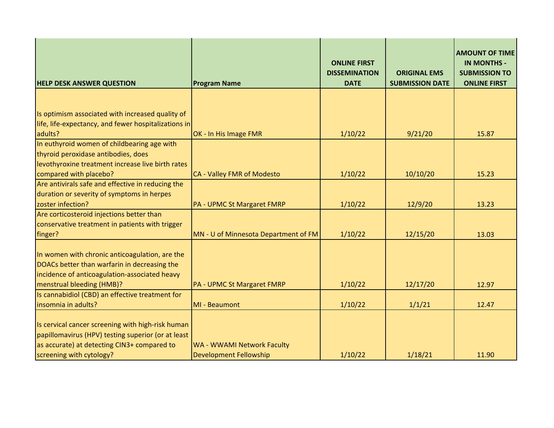| <b>HELP DESK ANSWER QUESTION</b>                                                                                                                                                   | <b>Program Name</b>                                         | <b>ONLINE FIRST</b><br><b>DISSEMINATION</b><br><b>DATE</b> | <b>ORIGINAL EMS</b><br><b>SUBMISSION DATE</b> | <b>AMOUNT OF TIME</b><br><b>IN MONTHS -</b><br><b>SUBMISSION TO</b><br><b>ONLINE FIRST</b> |
|------------------------------------------------------------------------------------------------------------------------------------------------------------------------------------|-------------------------------------------------------------|------------------------------------------------------------|-----------------------------------------------|--------------------------------------------------------------------------------------------|
|                                                                                                                                                                                    |                                                             |                                                            |                                               |                                                                                            |
| Is optimism associated with increased quality of<br>life, life-expectancy, and fewer hospitalizations in                                                                           |                                                             |                                                            |                                               |                                                                                            |
| adults?                                                                                                                                                                            | OK - In His Image FMR                                       | 1/10/22                                                    | 9/21/20                                       | 15.87                                                                                      |
| In euthyroid women of childbearing age with<br>thyroid peroxidase antibodies, does<br>levothyroxine treatment increase live birth rates                                            |                                                             |                                                            |                                               |                                                                                            |
| compared with placebo?                                                                                                                                                             | CA - Valley FMR of Modesto                                  | 1/10/22                                                    | 10/10/20                                      | 15.23                                                                                      |
| Are antivirals safe and effective in reducing the                                                                                                                                  |                                                             |                                                            |                                               |                                                                                            |
| duration or severity of symptoms in herpes                                                                                                                                         |                                                             |                                                            |                                               |                                                                                            |
| zoster infection?                                                                                                                                                                  | PA - UPMC St Margaret FMRP                                  | 1/10/22                                                    | 12/9/20                                       | 13.23                                                                                      |
| Are corticosteroid injections better than<br>conservative treatment in patients with trigger<br>finger?                                                                            | MN - U of Minnesota Department of FM                        | 1/10/22                                                    | 12/15/20                                      | 13.03                                                                                      |
| In women with chronic anticoagulation, are the<br>DOACs better than warfarin in decreasing the<br>incidence of anticoagulation-associated heavy<br>menstrual bleeding (HMB)?       | <b>PA - UPMC St Margaret FMRP</b>                           | 1/10/22                                                    | 12/17/20                                      | 12.97                                                                                      |
| Is cannabidiol (CBD) an effective treatment for<br>insomnia in adults?                                                                                                             | MI - Beaumont                                               | 1/10/22                                                    | 1/1/21                                        | 12.47                                                                                      |
| Is cervical cancer screening with high-risk human<br>papillomavirus (HPV) testing superior (or at least<br>as accurate) at detecting CIN3+ compared to<br>screening with cytology? | WA - WWAMI Network Faculty<br><b>Development Fellowship</b> | 1/10/22                                                    | 1/18/21                                       | 11.90                                                                                      |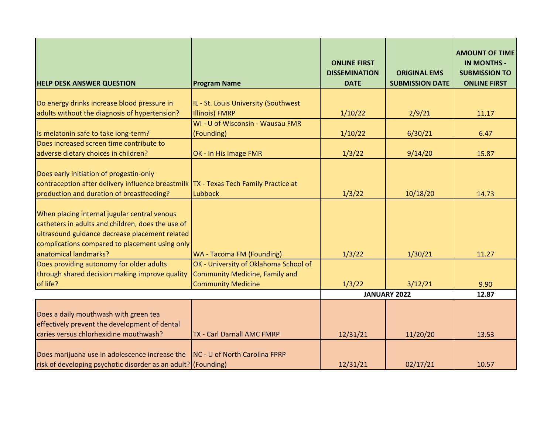| <b>HELP DESK ANSWER QUESTION</b>                                                                                                                                                                                               | <b>Program Name</b>                   | <b>ONLINE FIRST</b><br><b>DISSEMINATION</b><br><b>DATE</b> | <b>ORIGINAL EMS</b><br><b>SUBMISSION DATE</b> | <b>AMOUNT OF TIME</b><br><b>IN MONTHS -</b><br><b>SUBMISSION TO</b><br><b>ONLINE FIRST</b> |
|--------------------------------------------------------------------------------------------------------------------------------------------------------------------------------------------------------------------------------|---------------------------------------|------------------------------------------------------------|-----------------------------------------------|--------------------------------------------------------------------------------------------|
|                                                                                                                                                                                                                                |                                       |                                                            |                                               |                                                                                            |
| Do energy drinks increase blood pressure in                                                                                                                                                                                    | IL - St. Louis University (Southwest  |                                                            |                                               |                                                                                            |
| adults without the diagnosis of hypertension?                                                                                                                                                                                  | <b>Illinois) FMRP</b>                 | 1/10/22                                                    | 2/9/21                                        | 11.17                                                                                      |
|                                                                                                                                                                                                                                | WI - U of Wisconsin - Wausau FMR      |                                                            |                                               |                                                                                            |
| Is melatonin safe to take long-term?                                                                                                                                                                                           | (Founding)                            | 1/10/22                                                    | 6/30/21                                       | 6.47                                                                                       |
| Does increased screen time contribute to                                                                                                                                                                                       |                                       |                                                            |                                               |                                                                                            |
| adverse dietary choices in children?                                                                                                                                                                                           | OK - In His Image FMR                 | 1/3/22                                                     | 9/14/20                                       | 15.87                                                                                      |
| Does early initiation of progestin-only<br>contraception after delivery influence breastmilk TX - Texas Tech Family Practice at<br>production and duration of breastfeeding?                                                   | Lubbock                               | 1/3/22                                                     | 10/18/20                                      | 14.73                                                                                      |
| When placing internal jugular central venous<br>catheters in adults and children, does the use of<br>ultrasound guidance decrease placement related<br>complications compared to placement using only<br>anatomical landmarks? | WA - Tacoma FM (Founding)             | 1/3/22                                                     | 1/30/21                                       | 11.27                                                                                      |
| Does providing autonomy for older adults                                                                                                                                                                                       | OK - University of Oklahoma School of |                                                            |                                               |                                                                                            |
| through shared decision making improve quality                                                                                                                                                                                 | <b>Community Medicine, Family and</b> |                                                            |                                               |                                                                                            |
| of life?                                                                                                                                                                                                                       | <b>Community Medicine</b>             | 1/3/22                                                     | 3/12/21                                       | 9.90                                                                                       |
|                                                                                                                                                                                                                                |                                       | <b>JANUARY 2022</b>                                        |                                               | 12.87                                                                                      |
| Does a daily mouthwash with green tea<br>effectively prevent the development of dental<br>caries versus chlorhexidine mouthwash?                                                                                               | <b>TX - Carl Darnall AMC FMRP</b>     | 12/31/21                                                   | 11/20/20                                      | 13.53                                                                                      |
|                                                                                                                                                                                                                                |                                       |                                                            |                                               |                                                                                            |
| Does marijuana use in adolescence increase the<br>risk of developing psychotic disorder as an adult? (Founding)                                                                                                                | <b>NC - U of North Carolina FPRP</b>  | 12/31/21                                                   | 02/17/21                                      | 10.57                                                                                      |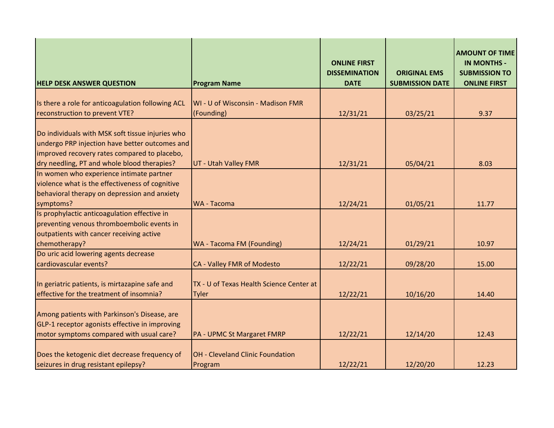| <b>HELP DESK ANSWER QUESTION</b>                  | <b>Program Name</b>                      | <b>ONLINE FIRST</b><br><b>DISSEMINATION</b><br><b>DATE</b> | <b>ORIGINAL EMS</b><br><b>SUBMISSION DATE</b> | <b>AMOUNT OF TIME</b><br><b>IN MONTHS -</b><br><b>SUBMISSION TO</b><br><b>ONLINE FIRST</b> |
|---------------------------------------------------|------------------------------------------|------------------------------------------------------------|-----------------------------------------------|--------------------------------------------------------------------------------------------|
|                                                   |                                          |                                                            |                                               |                                                                                            |
| Is there a role for anticoagulation following ACL | WI - U of Wisconsin - Madison FMR        |                                                            |                                               |                                                                                            |
| reconstruction to prevent VTE?                    | (Founding)                               | 12/31/21                                                   | 03/25/21                                      | 9.37                                                                                       |
| Do individuals with MSK soft tissue injuries who  |                                          |                                                            |                                               |                                                                                            |
| undergo PRP injection have better outcomes and    |                                          |                                                            |                                               |                                                                                            |
| improved recovery rates compared to placebo,      |                                          |                                                            |                                               |                                                                                            |
| dry needling, PT and whole blood therapies?       | UT - Utah Valley FMR                     | 12/31/21                                                   | 05/04/21                                      | 8.03                                                                                       |
| In women who experience intimate partner          |                                          |                                                            |                                               |                                                                                            |
| violence what is the effectiveness of cognitive   |                                          |                                                            |                                               |                                                                                            |
| behavioral therapy on depression and anxiety      |                                          |                                                            |                                               |                                                                                            |
| symptoms?                                         | <b>WA - Tacoma</b>                       | 12/24/21                                                   | 01/05/21                                      | 11.77                                                                                      |
| Is prophylactic anticoagulation effective in      |                                          |                                                            |                                               |                                                                                            |
| preventing venous thromboembolic events in        |                                          |                                                            |                                               |                                                                                            |
| outpatients with cancer receiving active          |                                          |                                                            |                                               |                                                                                            |
| chemotherapy?                                     | <b>WA - Tacoma FM (Founding)</b>         | 12/24/21                                                   | 01/29/21                                      | 10.97                                                                                      |
| Do uric acid lowering agents decrease             |                                          |                                                            |                                               |                                                                                            |
| cardiovascular events?                            | CA - Valley FMR of Modesto               | 12/22/21                                                   | 09/28/20                                      | 15.00                                                                                      |
| In geriatric patients, is mirtazapine safe and    | TX - U of Texas Health Science Center at |                                                            |                                               |                                                                                            |
| effective for the treatment of insomnia?          | <b>Tyler</b>                             | 12/22/21                                                   | 10/16/20                                      | 14.40                                                                                      |
|                                                   |                                          |                                                            |                                               |                                                                                            |
| Among patients with Parkinson's Disease, are      |                                          |                                                            |                                               |                                                                                            |
| GLP-1 receptor agonists effective in improving    |                                          |                                                            |                                               |                                                                                            |
| motor symptoms compared with usual care?          | PA - UPMC St Margaret FMRP               | 12/22/21                                                   | 12/14/20                                      | 12.43                                                                                      |
|                                                   |                                          |                                                            |                                               |                                                                                            |
| Does the ketogenic diet decrease frequency of     | <b>OH - Cleveland Clinic Foundation</b>  |                                                            |                                               |                                                                                            |
| seizures in drug resistant epilepsy?              | Program                                  | 12/22/21                                                   | 12/20/20                                      | 12.23                                                                                      |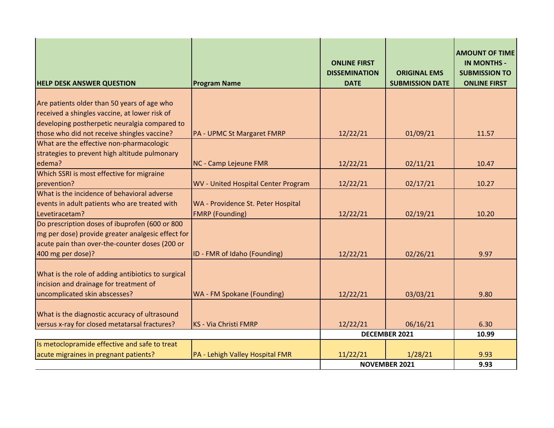| <b>HELP DESK ANSWER QUESTION</b>                   | <b>Program Name</b>                 | <b>ONLINE FIRST</b><br><b>DISSEMINATION</b><br><b>DATE</b> | <b>ORIGINAL EMS</b><br><b>SUBMISSION DATE</b> | <b>AMOUNT OF TIME</b><br><b>IN MONTHS -</b><br><b>SUBMISSION TO</b><br><b>ONLINE FIRST</b> |
|----------------------------------------------------|-------------------------------------|------------------------------------------------------------|-----------------------------------------------|--------------------------------------------------------------------------------------------|
|                                                    |                                     |                                                            |                                               |                                                                                            |
| Are patients older than 50 years of age who        |                                     |                                                            |                                               |                                                                                            |
| received a shingles vaccine, at lower risk of      |                                     |                                                            |                                               |                                                                                            |
| developing postherpetic neuralgia compared to      |                                     |                                                            |                                               |                                                                                            |
| those who did not receive shingles vaccine?        | <b>PA - UPMC St Margaret FMRP</b>   | 12/22/21                                                   | 01/09/21                                      | 11.57                                                                                      |
| What are the effective non-pharmacologic           |                                     |                                                            |                                               |                                                                                            |
| strategies to prevent high altitude pulmonary      |                                     |                                                            |                                               |                                                                                            |
| edema?                                             | <b>NC - Camp Lejeune FMR</b>        | 12/22/21                                                   | 02/11/21                                      | 10.47                                                                                      |
| Which SSRI is most effective for migraine          |                                     |                                                            |                                               |                                                                                            |
| prevention?                                        | WV - United Hospital Center Program | 12/22/21                                                   | 02/17/21                                      | 10.27                                                                                      |
| What is the incidence of behavioral adverse        |                                     |                                                            |                                               |                                                                                            |
| events in adult patients who are treated with      | WA - Providence St. Peter Hospital  |                                                            |                                               |                                                                                            |
| Levetiracetam?                                     | <b>FMRP</b> (Founding)              | 12/22/21                                                   | 02/19/21                                      | 10.20                                                                                      |
| Do prescription doses of ibuprofen (600 or 800     |                                     |                                                            |                                               |                                                                                            |
| mg per dose) provide greater analgesic effect for  |                                     |                                                            |                                               |                                                                                            |
| acute pain than over-the-counter doses (200 or     |                                     |                                                            |                                               |                                                                                            |
| 400 mg per dose)?                                  | ID - FMR of Idaho (Founding)        | 12/22/21                                                   | 02/26/21                                      | 9.97                                                                                       |
|                                                    |                                     |                                                            |                                               |                                                                                            |
| What is the role of adding antibiotics to surgical |                                     |                                                            |                                               |                                                                                            |
| incision and drainage for treatment of             |                                     |                                                            |                                               |                                                                                            |
| uncomplicated skin abscesses?                      | WA - FM Spokane (Founding)          | 12/22/21                                                   | 03/03/21                                      | 9.80                                                                                       |
|                                                    |                                     |                                                            |                                               |                                                                                            |
| What is the diagnostic accuracy of ultrasound      |                                     |                                                            |                                               |                                                                                            |
| versus x-ray for closed metatarsal fractures?      | KS - Via Christi FMRP               | 12/22/21                                                   | 06/16/21                                      | 6.30                                                                                       |
|                                                    |                                     |                                                            | <b>DECEMBER 2021</b>                          | 10.99                                                                                      |
| Is metoclopramide effective and safe to treat      |                                     |                                                            |                                               |                                                                                            |
| acute migraines in pregnant patients?              | PA - Lehigh Valley Hospital FMR     | 11/22/21                                                   | 1/28/21                                       | 9.93                                                                                       |
|                                                    |                                     |                                                            | <b>NOVEMBER 2021</b>                          | 9.93                                                                                       |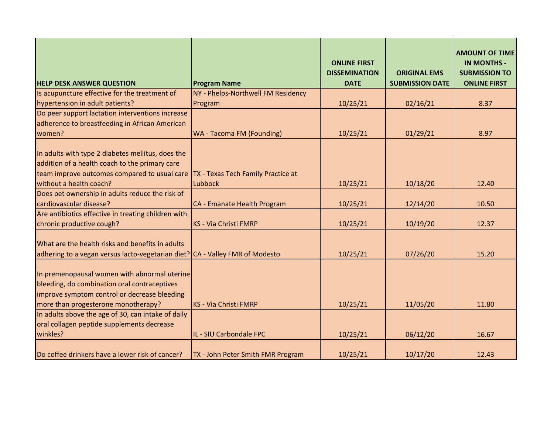| <b>HELP DESK ANSWER QUESTION</b>                                                                                                                                                    | <b>Program Name</b>                | <b>ONLINE FIRST</b><br><b>DISSEMINATION</b><br><b>DATE</b> | <b>ORIGINAL EMS</b><br><b>SUBMISSION DATE</b> | <b>AMOUNT OF TIME</b><br><b>IN MONTHS -</b><br><b>SUBMISSION TO</b><br><b>ONLINE FIRST</b> |
|-------------------------------------------------------------------------------------------------------------------------------------------------------------------------------------|------------------------------------|------------------------------------------------------------|-----------------------------------------------|--------------------------------------------------------------------------------------------|
| Is acupuncture effective for the treatment of                                                                                                                                       | NY - Phelps-Northwell FM Residency |                                                            |                                               |                                                                                            |
| hypertension in adult patients?                                                                                                                                                     | Program                            | 10/25/21                                                   | 02/16/21                                      | 8.37                                                                                       |
| Do peer support lactation interventions increase                                                                                                                                    |                                    |                                                            |                                               |                                                                                            |
| adherence to breastfeeding in African American                                                                                                                                      |                                    |                                                            |                                               |                                                                                            |
| women?                                                                                                                                                                              | WA - Tacoma FM (Founding)          | 10/25/21                                                   | 01/29/21                                      | 8.97                                                                                       |
| In adults with type 2 diabetes mellitus, does the<br>addition of a health coach to the primary care<br>team improve outcomes compared to usual care                                 | TX - Texas Tech Family Practice at |                                                            |                                               |                                                                                            |
| without a health coach?                                                                                                                                                             | Lubbock                            | 10/25/21                                                   | 10/18/20                                      | 12.40                                                                                      |
| Does pet ownership in adults reduce the risk of                                                                                                                                     |                                    |                                                            |                                               |                                                                                            |
| cardiovascular disease?                                                                                                                                                             | CA - Emanate Health Program        | 10/25/21                                                   | 12/14/20                                      | 10.50                                                                                      |
| Are antibiotics effective in treating children with<br>chronic productive cough?                                                                                                    | KS - Via Christi FMRP              | 10/25/21                                                   | 10/19/20                                      | 12.37                                                                                      |
| What are the health risks and benefits in adults<br>adhering to a vegan versus lacto-vegetarian diet? CA - Valley FMR of Modesto                                                    |                                    | 10/25/21                                                   | 07/26/20                                      | 15.20                                                                                      |
| In premenopausal women with abnormal uterine<br>bleeding, do combination oral contraceptives<br>improve symptom control or decrease bleeding<br>more than progesterone monotherapy? | KS - Via Christi FMRP              | 10/25/21                                                   | 11/05/20                                      | 11.80                                                                                      |
| In adults above the age of 30, can intake of daily                                                                                                                                  |                                    |                                                            |                                               |                                                                                            |
| oral collagen peptide supplements decrease<br>winkles?                                                                                                                              | IL - SIU Carbondale FPC            | 10/25/21                                                   | 06/12/20                                      | 16.67                                                                                      |
| Do coffee drinkers have a lower risk of cancer?                                                                                                                                     | TX - John Peter Smith FMR Program  | 10/25/21                                                   | 10/17/20                                      | 12.43                                                                                      |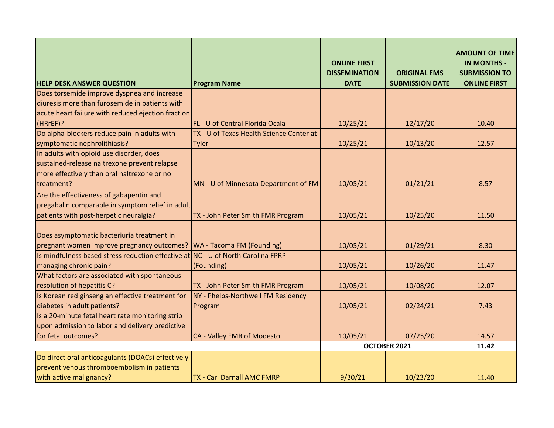| <b>HELP DESK ANSWER QUESTION</b>                   | <b>Program Name</b>                      | <b>ONLINE FIRST</b><br><b>DISSEMINATION</b><br><b>DATE</b> | <b>ORIGINAL EMS</b><br><b>SUBMISSION DATE</b> | <b>AMOUNT OF TIME</b><br><b>IN MONTHS -</b><br><b>SUBMISSION TO</b><br><b>ONLINE FIRST</b> |
|----------------------------------------------------|------------------------------------------|------------------------------------------------------------|-----------------------------------------------|--------------------------------------------------------------------------------------------|
| Does torsemide improve dyspnea and increase        |                                          |                                                            |                                               |                                                                                            |
| diuresis more than furosemide in patients with     |                                          |                                                            |                                               |                                                                                            |
| acute heart failure with reduced ejection fraction |                                          |                                                            |                                               |                                                                                            |
| (HRrEF)?                                           | FL - U of Central Florida Ocala          | 10/25/21                                                   | 12/17/20                                      | 10.40                                                                                      |
| Do alpha-blockers reduce pain in adults with       | TX - U of Texas Health Science Center at |                                                            |                                               |                                                                                            |
| symptomatic nephrolithiasis?                       | Tyler                                    | 10/25/21                                                   | 10/13/20                                      | 12.57                                                                                      |
| In adults with opioid use disorder, does           |                                          |                                                            |                                               |                                                                                            |
| sustained-release naltrexone prevent relapse       |                                          |                                                            |                                               |                                                                                            |
| more effectively than oral naltrexone or no        |                                          |                                                            |                                               |                                                                                            |
| treatment?                                         | MN - U of Minnesota Department of FM     | 10/05/21                                                   | 01/21/21                                      | 8.57                                                                                       |
| Are the effectiveness of gabapentin and            |                                          |                                                            |                                               |                                                                                            |
| pregabalin comparable in symptom relief in adult   |                                          |                                                            |                                               |                                                                                            |
| patients with post-herpetic neuralgia?             | TX - John Peter Smith FMR Program        | 10/05/21                                                   | 10/25/20                                      | 11.50                                                                                      |
|                                                    |                                          |                                                            |                                               |                                                                                            |
| Does asymptomatic bacteriuria treatment in         |                                          |                                                            |                                               |                                                                                            |
| pregnant women improve pregnancy outcomes?         | WA - Tacoma FM (Founding)                | 10/05/21                                                   | 01/29/21                                      | 8.30                                                                                       |
| Is mindfulness based stress reduction effective at | <b>NC - U of North Carolina FPRP</b>     |                                                            |                                               |                                                                                            |
| managing chronic pain?                             | (Founding)                               | 10/05/21                                                   | 10/26/20                                      | 11.47                                                                                      |
| What factors are associated with spontaneous       |                                          |                                                            |                                               |                                                                                            |
| resolution of hepatitis C?                         | TX - John Peter Smith FMR Program        | 10/05/21                                                   | 10/08/20                                      | 12.07                                                                                      |
| Is Korean red ginseng an effective treatment for   | NY - Phelps-Northwell FM Residency       |                                                            |                                               |                                                                                            |
| diabetes in adult patients?                        | Program                                  | 10/05/21                                                   | 02/24/21                                      | 7.43                                                                                       |
| Is a 20-minute fetal heart rate monitoring strip   |                                          |                                                            |                                               |                                                                                            |
| upon admission to labor and delivery predictive    |                                          |                                                            |                                               |                                                                                            |
| for fetal outcomes?                                | CA - Valley FMR of Modesto               | 10/05/21                                                   | 07/25/20                                      | 14.57                                                                                      |
|                                                    |                                          |                                                            | OCTOBER 2021                                  | 11.42                                                                                      |
| Do direct oral anticoagulants (DOACs) effectively  |                                          |                                                            |                                               |                                                                                            |
| prevent venous thromboembolism in patients         |                                          |                                                            |                                               |                                                                                            |
| with active malignancy?                            | <b>TX - Carl Darnall AMC FMRP</b>        | 9/30/21                                                    | 10/23/20                                      | 11.40                                                                                      |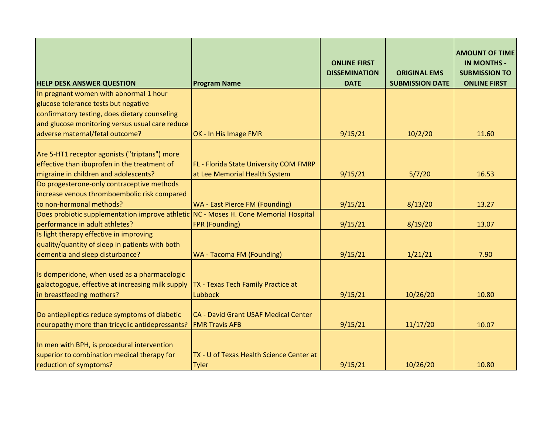|                                                                                      |                                          | <b>ONLINE FIRST</b><br><b>DISSEMINATION</b> | <b>ORIGINAL EMS</b>    | <b>AMOUNT OF TIME</b><br><b>IN MONTHS -</b><br><b>SUBMISSION TO</b> |
|--------------------------------------------------------------------------------------|------------------------------------------|---------------------------------------------|------------------------|---------------------------------------------------------------------|
| <b>HELP DESK ANSWER QUESTION</b>                                                     | <b>Program Name</b>                      | <b>DATE</b>                                 | <b>SUBMISSION DATE</b> | <b>ONLINE FIRST</b>                                                 |
| In pregnant women with abnormal 1 hour                                               |                                          |                                             |                        |                                                                     |
| glucose tolerance tests but negative                                                 |                                          |                                             |                        |                                                                     |
| confirmatory testing, does dietary counseling                                        |                                          |                                             |                        |                                                                     |
| and glucose monitoring versus usual care reduce                                      |                                          |                                             |                        |                                                                     |
| adverse maternal/fetal outcome?                                                      | OK - In His Image FMR                    | 9/15/21                                     | 10/2/20                | 11.60                                                               |
| Are 5-HT1 receptor agonists ("triptans") more                                        |                                          |                                             |                        |                                                                     |
| effective than ibuprofen in the treatment of                                         | FL - Florida State University COM FMRP   |                                             |                        |                                                                     |
| migraine in children and adolescents?                                                | at Lee Memorial Health System            | 9/15/21                                     | 5/7/20                 | 16.53                                                               |
| Do progesterone-only contraceptive methods                                           |                                          |                                             |                        |                                                                     |
| increase venous thromboembolic risk compared                                         |                                          |                                             |                        |                                                                     |
| to non-hormonal methods?                                                             | <b>WA - East Pierce FM (Founding)</b>    | 9/15/21                                     | 8/13/20                | 13.27                                                               |
| Does probiotic supplementation improve athletic NC - Moses H. Cone Memorial Hospital |                                          |                                             |                        |                                                                     |
| performance in adult athletes?                                                       | FPR (Founding)                           | 9/15/21                                     | 8/19/20                | 13.07                                                               |
| Is light therapy effective in improving                                              |                                          |                                             |                        |                                                                     |
| quality/quantity of sleep in patients with both                                      |                                          |                                             |                        |                                                                     |
| dementia and sleep disturbance?                                                      | <b>WA - Tacoma FM (Founding)</b>         | 9/15/21                                     | 1/21/21                | 7.90                                                                |
|                                                                                      |                                          |                                             |                        |                                                                     |
| Is domperidone, when used as a pharmacologic                                         |                                          |                                             |                        |                                                                     |
| galactogogue, effective at increasing milk supply                                    | TX - Texas Tech Family Practice at       |                                             |                        |                                                                     |
| in breastfeeding mothers?                                                            | Lubbock                                  | 9/15/21                                     | 10/26/20               | 10.80                                                               |
| Do antiepileptics reduce symptoms of diabetic                                        | CA - David Grant USAF Medical Center     |                                             |                        |                                                                     |
| neuropathy more than tricyclic antidepressants?                                      | <b>FMR Travis AFB</b>                    | 9/15/21                                     | 11/17/20               | 10.07                                                               |
|                                                                                      |                                          |                                             |                        |                                                                     |
| In men with BPH, is procedural intervention                                          |                                          |                                             |                        |                                                                     |
| superior to combination medical therapy for                                          | TX - U of Texas Health Science Center at |                                             |                        |                                                                     |
| reduction of symptoms?                                                               | <b>Tyler</b>                             | 9/15/21                                     | 10/26/20               | 10.80                                                               |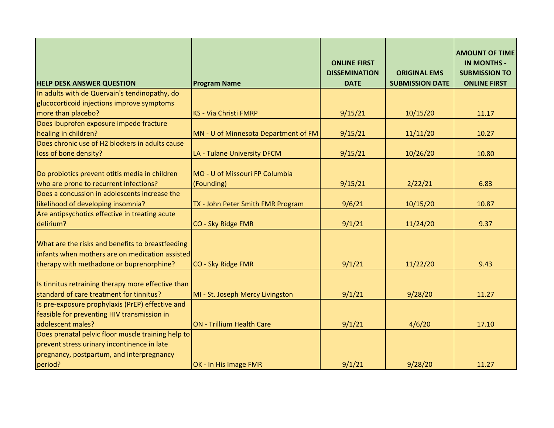| <b>HELP DESK ANSWER QUESTION</b>                                                                                                                          | <b>Program Name</b>                          | <b>ONLINE FIRST</b><br><b>DISSEMINATION</b><br><b>DATE</b> | <b>ORIGINAL EMS</b><br><b>SUBMISSION DATE</b> | <b>AMOUNT OF TIME</b><br><b>IN MONTHS -</b><br><b>SUBMISSION TO</b><br><b>ONLINE FIRST</b> |
|-----------------------------------------------------------------------------------------------------------------------------------------------------------|----------------------------------------------|------------------------------------------------------------|-----------------------------------------------|--------------------------------------------------------------------------------------------|
| In adults with de Quervain's tendinopathy, do                                                                                                             |                                              |                                                            |                                               |                                                                                            |
| glucocorticoid injections improve symptoms                                                                                                                |                                              |                                                            |                                               |                                                                                            |
| more than placebo?                                                                                                                                        | <b>KS - Via Christi FMRP</b>                 | 9/15/21                                                    | 10/15/20                                      | 11.17                                                                                      |
| Does ibuprofen exposure impede fracture                                                                                                                   |                                              |                                                            |                                               |                                                                                            |
| healing in children?                                                                                                                                      | MN - U of Minnesota Department of FM         | 9/15/21                                                    | 11/11/20                                      | 10.27                                                                                      |
| Does chronic use of H2 blockers in adults cause                                                                                                           |                                              |                                                            |                                               |                                                                                            |
| loss of bone density?                                                                                                                                     | LA - Tulane University DFCM                  | 9/15/21                                                    | 10/26/20                                      | 10.80                                                                                      |
| Do probiotics prevent otitis media in children<br>who are prone to recurrent infections?                                                                  | MO - U of Missouri FP Columbia<br>(Founding) | 9/15/21                                                    | 2/22/21                                       | 6.83                                                                                       |
| Does a concussion in adolescents increase the                                                                                                             |                                              |                                                            |                                               |                                                                                            |
| likelihood of developing insomnia?                                                                                                                        | TX - John Peter Smith FMR Program            | 9/6/21                                                     | 10/15/20                                      | 10.87                                                                                      |
| Are antipsychotics effective in treating acute                                                                                                            |                                              |                                                            |                                               |                                                                                            |
| delirium?                                                                                                                                                 | CO - Sky Ridge FMR                           | 9/1/21                                                     | 11/24/20                                      | 9.37                                                                                       |
| What are the risks and benefits to breastfeeding<br>infants when mothers are on medication assisted<br>therapy with methadone or buprenorphine?           | CO - Sky Ridge FMR                           | 9/1/21                                                     | 11/22/20                                      | 9.43                                                                                       |
| Is tinnitus retraining therapy more effective than<br>standard of care treatment for tinnitus?                                                            | MI - St. Joseph Mercy Livingston             | 9/1/21                                                     | 9/28/20                                       | 11.27                                                                                      |
| Is pre-exposure prophylaxis (PrEP) effective and<br>feasible for preventing HIV transmission in                                                           |                                              |                                                            |                                               |                                                                                            |
| adolescent males?                                                                                                                                         | <b>ON - Trillium Health Care</b>             | 9/1/21                                                     | 4/6/20                                        | 17.10                                                                                      |
| Does prenatal pelvic floor muscle training help to<br>prevent stress urinary incontinence in late<br>pregnancy, postpartum, and interpregnancy<br>period? | OK - In His Image FMR                        | 9/1/21                                                     | 9/28/20                                       | 11.27                                                                                      |
|                                                                                                                                                           |                                              |                                                            |                                               |                                                                                            |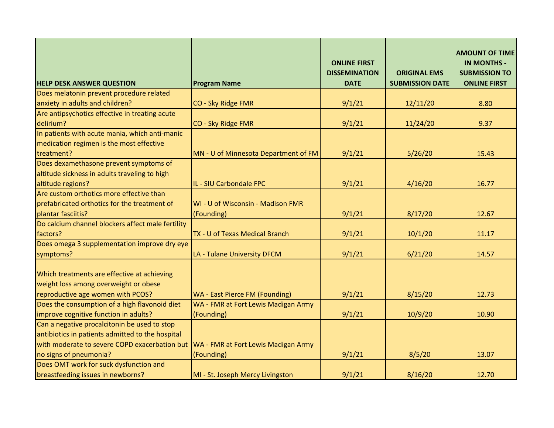| <b>HELP DESK ANSWER QUESTION</b>                                                           | <b>Program Name</b>                                                   | <b>ONLINE FIRST</b><br><b>DISSEMINATION</b><br><b>DATE</b> | <b>ORIGINAL EMS</b><br><b>SUBMISSION DATE</b> | <b>AMOUNT OF TIME</b><br><b>IN MONTHS -</b><br><b>SUBMISSION TO</b><br><b>ONLINE FIRST</b> |
|--------------------------------------------------------------------------------------------|-----------------------------------------------------------------------|------------------------------------------------------------|-----------------------------------------------|--------------------------------------------------------------------------------------------|
| Does melatonin prevent procedure related                                                   |                                                                       |                                                            |                                               |                                                                                            |
| anxiety in adults and children?                                                            | CO - Sky Ridge FMR                                                    | 9/1/21                                                     | 12/11/20                                      | 8.80                                                                                       |
| Are antipsychotics effective in treating acute                                             |                                                                       |                                                            |                                               |                                                                                            |
| delirium?                                                                                  | CO - Sky Ridge FMR                                                    | 9/1/21                                                     | 11/24/20                                      | 9.37                                                                                       |
| In patients with acute mania, which anti-manic<br>medication regimen is the most effective |                                                                       |                                                            |                                               |                                                                                            |
| treatment?                                                                                 | MN - U of Minnesota Department of FM                                  | 9/1/21                                                     | 5/26/20                                       | 15.43                                                                                      |
| Does dexamethasone prevent symptoms of<br>altitude sickness in adults traveling to high    |                                                                       |                                                            |                                               |                                                                                            |
| altitude regions?                                                                          | IL - SIU Carbondale FPC                                               | 9/1/21                                                     | 4/16/20                                       | 16.77                                                                                      |
| Are custom orthotics more effective than                                                   |                                                                       |                                                            |                                               |                                                                                            |
| prefabricated orthotics for the treatment of                                               | WI - U of Wisconsin - Madison FMR                                     |                                                            |                                               |                                                                                            |
| plantar fasciitis?                                                                         | (Founding)                                                            | 9/1/21                                                     | 8/17/20                                       | 12.67                                                                                      |
| Do calcium channel blockers affect male fertility                                          |                                                                       |                                                            |                                               |                                                                                            |
| factors?                                                                                   | TX - U of Texas Medical Branch                                        | 9/1/21                                                     | 10/1/20                                       | 11.17                                                                                      |
| Does omega 3 supplementation improve dry eye<br>symptoms?                                  | LA - Tulane University DFCM                                           | 9/1/21                                                     | 6/21/20                                       | 14.57                                                                                      |
| Which treatments are effective at achieving<br>weight loss among overweight or obese       |                                                                       |                                                            |                                               |                                                                                            |
| reproductive age women with PCOS?<br>Does the consumption of a high flavonoid diet         | WA - East Pierce FM (Founding)<br>WA - FMR at Fort Lewis Madigan Army | 9/1/21                                                     | 8/15/20                                       | 12.73                                                                                      |
| improve cognitive function in adults?                                                      |                                                                       |                                                            |                                               | 10.90                                                                                      |
| Can a negative procalcitonin be used to stop                                               | (Founding)                                                            | 9/1/21                                                     | 10/9/20                                       |                                                                                            |
| antibiotics in patients admitted to the hospital                                           |                                                                       |                                                            |                                               |                                                                                            |
| with moderate to severe COPD exacerbation but                                              | WA - FMR at Fort Lewis Madigan Army                                   |                                                            |                                               |                                                                                            |
| no signs of pneumonia?                                                                     | (Founding)                                                            | 9/1/21                                                     | 8/5/20                                        | 13.07                                                                                      |
| Does OMT work for suck dysfunction and                                                     |                                                                       |                                                            |                                               |                                                                                            |
| breastfeeding issues in newborns?                                                          | MI - St. Joseph Mercy Livingston                                      | 9/1/21                                                     | 8/16/20                                       | 12.70                                                                                      |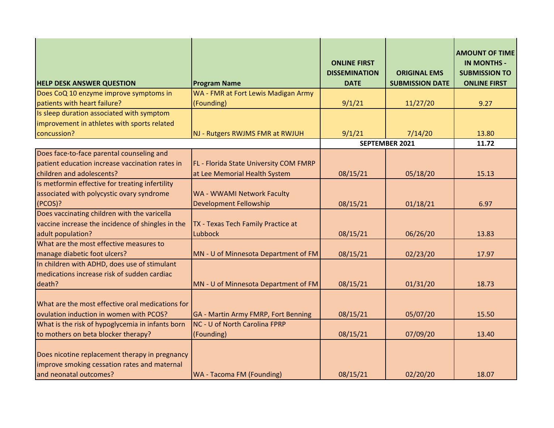| <b>HELP DESK ANSWER QUESTION</b>                                                                                         | <b>Program Name</b>                    | <b>ONLINE FIRST</b><br><b>DISSEMINATION</b><br><b>DATE</b> | <b>ORIGINAL EMS</b><br><b>SUBMISSION DATE</b> | <b>AMOUNT OF TIME</b><br><b>IN MONTHS -</b><br><b>SUBMISSION TO</b><br><b>ONLINE FIRST</b> |
|--------------------------------------------------------------------------------------------------------------------------|----------------------------------------|------------------------------------------------------------|-----------------------------------------------|--------------------------------------------------------------------------------------------|
| Does CoQ 10 enzyme improve symptoms in                                                                                   | WA - FMR at Fort Lewis Madigan Army    |                                                            |                                               |                                                                                            |
| patients with heart failure?                                                                                             | (Founding)                             | 9/1/21                                                     | 11/27/20                                      | 9.27                                                                                       |
| Is sleep duration associated with symptom                                                                                |                                        |                                                            |                                               |                                                                                            |
| improvement in athletes with sports related                                                                              |                                        |                                                            |                                               |                                                                                            |
| concussion?                                                                                                              | NJ - Rutgers RWJMS FMR at RWJUH        | 9/1/21                                                     | 7/14/20                                       | 13.80                                                                                      |
|                                                                                                                          |                                        |                                                            | <b>SEPTEMBER 2021</b>                         | 11.72                                                                                      |
| Does face-to-face parental counseling and                                                                                |                                        |                                                            |                                               |                                                                                            |
| patient education increase vaccination rates in                                                                          | FL - Florida State University COM FMRP |                                                            |                                               |                                                                                            |
| children and adolescents?                                                                                                | at Lee Memorial Health System          | 08/15/21                                                   | 05/18/20                                      | 15.13                                                                                      |
| Is metformin effective for treating infertility                                                                          |                                        |                                                            |                                               |                                                                                            |
| associated with polycystic ovary syndrome                                                                                | WA - WWAMI Network Faculty             |                                                            |                                               |                                                                                            |
| (PCOS)?                                                                                                                  | <b>Development Fellowship</b>          | 08/15/21                                                   | 01/18/21                                      | 6.97                                                                                       |
| Does vaccinating children with the varicella                                                                             |                                        |                                                            |                                               |                                                                                            |
| vaccine increase the incidence of shingles in the                                                                        | TX - Texas Tech Family Practice at     |                                                            |                                               |                                                                                            |
| adult population?                                                                                                        | Lubbock                                | 08/15/21                                                   | 06/26/20                                      | 13.83                                                                                      |
| What are the most effective measures to                                                                                  |                                        |                                                            |                                               |                                                                                            |
| manage diabetic foot ulcers?                                                                                             | MN - U of Minnesota Department of FM   | 08/15/21                                                   | 02/23/20                                      | 17.97                                                                                      |
| In children with ADHD, does use of stimulant                                                                             |                                        |                                                            |                                               |                                                                                            |
| medications increase risk of sudden cardiac                                                                              |                                        |                                                            |                                               |                                                                                            |
| death?                                                                                                                   | MN - U of Minnesota Department of FM   | 08/15/21                                                   | 01/31/20                                      | 18.73                                                                                      |
| What are the most effective oral medications for<br>ovulation induction in women with PCOS?                              | GA - Martin Army FMRP, Fort Benning    | 08/15/21                                                   | 05/07/20                                      | 15.50                                                                                      |
| What is the risk of hypoglycemia in infants born                                                                         | NC - U of North Carolina FPRP          |                                                            |                                               |                                                                                            |
| to mothers on beta blocker therapy?                                                                                      | (Founding)                             | 08/15/21                                                   | 07/09/20                                      | 13.40                                                                                      |
| Does nicotine replacement therapy in pregnancy<br>improve smoking cessation rates and maternal<br>and neonatal outcomes? | WA - Tacoma FM (Founding)              | 08/15/21                                                   | 02/20/20                                      | 18.07                                                                                      |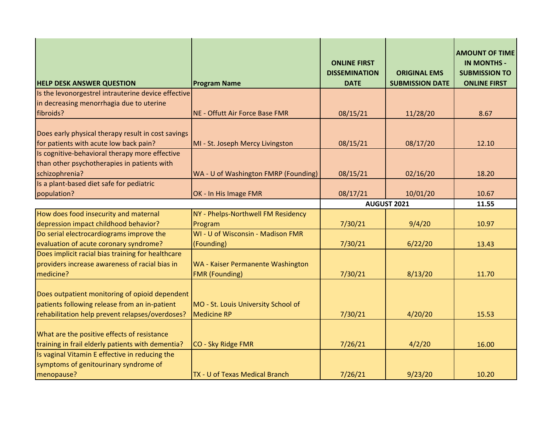| <b>HELP DESK ANSWER QUESTION</b>                                                                                                                   | <b>Program Name</b>                                       | <b>ONLINE FIRST</b><br><b>DISSEMINATION</b><br><b>DATE</b> | <b>ORIGINAL EMS</b><br><b>SUBMISSION DATE</b> | <b>AMOUNT OF TIME</b><br><b>IN MONTHS -</b><br><b>SUBMISSION TO</b><br><b>ONLINE FIRST</b> |
|----------------------------------------------------------------------------------------------------------------------------------------------------|-----------------------------------------------------------|------------------------------------------------------------|-----------------------------------------------|--------------------------------------------------------------------------------------------|
| Is the levonorgestrel intrauterine device effective                                                                                                |                                                           |                                                            |                                               |                                                                                            |
| in decreasing menorrhagia due to uterine                                                                                                           |                                                           |                                                            |                                               |                                                                                            |
| fibroids?                                                                                                                                          | NE - Offutt Air Force Base FMR                            | 08/15/21                                                   | 11/28/20                                      | 8.67                                                                                       |
| Does early physical therapy result in cost savings<br>for patients with acute low back pain?                                                       | MI - St. Joseph Mercy Livingston                          | 08/15/21                                                   | 08/17/20                                      | 12.10                                                                                      |
| Is cognitive-behavioral therapy more effective                                                                                                     |                                                           |                                                            |                                               |                                                                                            |
| than other psychotherapies in patients with                                                                                                        |                                                           |                                                            |                                               |                                                                                            |
| schizophrenia?                                                                                                                                     | WA - U of Washington FMRP (Founding)                      | 08/15/21                                                   | 02/16/20                                      | 18.20                                                                                      |
| Is a plant-based diet safe for pediatric                                                                                                           |                                                           |                                                            |                                               |                                                                                            |
| population?                                                                                                                                        | OK - In His Image FMR                                     | 08/17/21                                                   | 10/01/20                                      | 10.67                                                                                      |
|                                                                                                                                                    |                                                           | AUGUST 2021                                                |                                               | 11.55                                                                                      |
| How does food insecurity and maternal                                                                                                              | NY - Phelps-Northwell FM Residency                        |                                                            |                                               |                                                                                            |
| depression impact childhood behavior?                                                                                                              | Program                                                   | 7/30/21                                                    | 9/4/20                                        | 10.97                                                                                      |
| Do serial electrocardiograms improve the                                                                                                           | WI - U of Wisconsin - Madison FMR                         |                                                            |                                               |                                                                                            |
| evaluation of acute coronary syndrome?                                                                                                             | (Founding)                                                | 7/30/21                                                    | 6/22/20                                       | 13.43                                                                                      |
| Does implicit racial bias training for healthcare                                                                                                  |                                                           |                                                            |                                               |                                                                                            |
| providers increase awareness of racial bias in                                                                                                     | WA - Kaiser Permanente Washington                         |                                                            |                                               |                                                                                            |
| medicine?                                                                                                                                          | <b>FMR (Founding)</b>                                     | 7/30/21                                                    | 8/13/20                                       | 11.70                                                                                      |
| Does outpatient monitoring of opioid dependent<br>patients following release from an in-patient<br>rehabilitation help prevent relapses/overdoses? | MO - St. Louis University School of<br><b>Medicine RP</b> | 7/30/21                                                    | 4/20/20                                       | 15.53                                                                                      |
| What are the positive effects of resistance                                                                                                        |                                                           |                                                            |                                               |                                                                                            |
| training in frail elderly patients with dementia?                                                                                                  | CO - Sky Ridge FMR                                        | 7/26/21                                                    | 4/2/20                                        | 16.00                                                                                      |
| Is vaginal Vitamin E effective in reducing the                                                                                                     |                                                           |                                                            |                                               |                                                                                            |
| symptoms of genitourinary syndrome of                                                                                                              |                                                           |                                                            |                                               |                                                                                            |
| menopause?                                                                                                                                         | TX - U of Texas Medical Branch                            | 7/26/21                                                    | 9/23/20                                       | 10.20                                                                                      |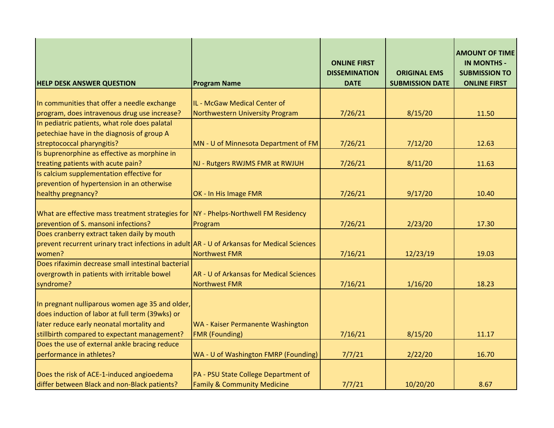| <b>HELP DESK ANSWER QUESTION</b>                                                                                            | <b>Program Name</b>                                                            | <b>ONLINE FIRST</b><br><b>DISSEMINATION</b><br><b>DATE</b> | <b>ORIGINAL EMS</b><br><b>SUBMISSION DATE</b> | <b>AMOUNT OF TIME</b><br><b>IN MONTHS -</b><br><b>SUBMISSION TO</b><br><b>ONLINE FIRST</b> |
|-----------------------------------------------------------------------------------------------------------------------------|--------------------------------------------------------------------------------|------------------------------------------------------------|-----------------------------------------------|--------------------------------------------------------------------------------------------|
|                                                                                                                             |                                                                                |                                                            |                                               |                                                                                            |
| In communities that offer a needle exchange                                                                                 | IL - McGaw Medical Center of                                                   |                                                            |                                               |                                                                                            |
| program, does intravenous drug use increase?                                                                                | Northwestern University Program                                                | 7/26/21                                                    | 8/15/20                                       | 11.50                                                                                      |
| In pediatric patients, what role does palatal                                                                               |                                                                                |                                                            |                                               |                                                                                            |
| petechiae have in the diagnosis of group A                                                                                  |                                                                                |                                                            |                                               |                                                                                            |
| streptococcal pharyngitis?                                                                                                  | MN - U of Minnesota Department of FM                                           | 7/26/21                                                    | 7/12/20                                       | 12.63                                                                                      |
| Is buprenorphine as effective as morphine in                                                                                |                                                                                |                                                            |                                               |                                                                                            |
| treating patients with acute pain?                                                                                          | NJ - Rutgers RWJMS FMR at RWJUH                                                | 7/26/21                                                    | 8/11/20                                       | 11.63                                                                                      |
| Is calcium supplementation effective for                                                                                    |                                                                                |                                                            |                                               |                                                                                            |
| prevention of hypertension in an otherwise                                                                                  |                                                                                |                                                            |                                               |                                                                                            |
| healthy pregnancy?                                                                                                          | OK - In His Image FMR                                                          | 7/26/21                                                    | 9/17/20                                       | 10.40                                                                                      |
| What are effective mass treatment strategies for NY - Phelps-Northwell FM Residency<br>prevention of S. mansoni infections? | Program                                                                        | 7/26/21                                                    | 2/23/20                                       | 17.30                                                                                      |
| Does cranberry extract taken daily by mouth                                                                                 |                                                                                |                                                            |                                               |                                                                                            |
| prevent recurrent urinary tract infections in adult AR - U of Arkansas for Medical Sciences<br>women?                       | <b>Northwest FMR</b>                                                           | 7/16/21                                                    | 12/23/19                                      | 19.03                                                                                      |
| Does rifaximin decrease small intestinal bacterial<br>overgrowth in patients with irritable bowel<br>syndrome?              | AR - U of Arkansas for Medical Sciences<br>Northwest FMR                       | 7/16/21                                                    | 1/16/20                                       | 18.23                                                                                      |
|                                                                                                                             |                                                                                |                                                            |                                               |                                                                                            |
| In pregnant nulliparous women age 35 and older,                                                                             |                                                                                |                                                            |                                               |                                                                                            |
| does induction of labor at full term (39wks) or                                                                             |                                                                                |                                                            |                                               |                                                                                            |
| later reduce early neonatal mortality and                                                                                   | WA - Kaiser Permanente Washington                                              |                                                            |                                               |                                                                                            |
| stillbirth compared to expectant management?                                                                                | <b>FMR (Founding)</b>                                                          | 7/16/21                                                    | 8/15/20                                       | 11.17                                                                                      |
| Does the use of external ankle bracing reduce                                                                               |                                                                                |                                                            |                                               |                                                                                            |
| performance in athletes?                                                                                                    | WA - U of Washington FMRP (Founding)                                           | 7/7/21                                                     | 2/22/20                                       | 16.70                                                                                      |
| Does the risk of ACE-1-induced angioedema<br>differ between Black and non-Black patients?                                   | PA - PSU State College Department of<br><b>Family &amp; Community Medicine</b> | 7/7/21                                                     | 10/20/20                                      | 8.67                                                                                       |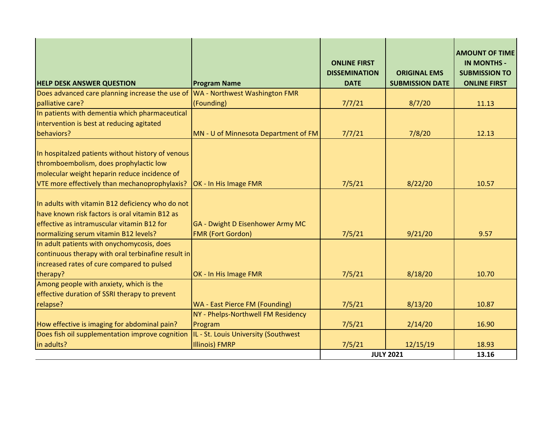| <b>HELP DESK ANSWER QUESTION</b>                                                                                                                                                             | <b>Program Name</b>                                          | <b>ONLINE FIRST</b><br><b>DISSEMINATION</b><br><b>DATE</b> | <b>ORIGINAL EMS</b><br><b>SUBMISSION DATE</b> | <b>AMOUNT OF TIME</b><br><b>IN MONTHS -</b><br><b>SUBMISSION TO</b><br><b>ONLINE FIRST</b> |
|----------------------------------------------------------------------------------------------------------------------------------------------------------------------------------------------|--------------------------------------------------------------|------------------------------------------------------------|-----------------------------------------------|--------------------------------------------------------------------------------------------|
| Does advanced care planning increase the use of                                                                                                                                              | WA - Northwest Washington FMR                                |                                                            |                                               |                                                                                            |
| palliative care?                                                                                                                                                                             | (Founding)                                                   | 7/7/21                                                     | 8/7/20                                        | 11.13                                                                                      |
| In patients with dementia which pharmaceutical                                                                                                                                               |                                                              |                                                            |                                               |                                                                                            |
| intervention is best at reducing agitated                                                                                                                                                    |                                                              |                                                            |                                               |                                                                                            |
| behaviors?                                                                                                                                                                                   | MN - U of Minnesota Department of FM                         | 7/7/21                                                     | 7/8/20                                        | 12.13                                                                                      |
| In hospitalzed patients without history of venous<br>thromboembolism, does prophylactic low<br>molecular weight heparin reduce incidence of<br>VTE more effectively than mechanoprophylaxis? | OK - In His Image FMR                                        | 7/5/21                                                     | 8/22/20                                       | 10.57                                                                                      |
| In adults with vitamin B12 deficiency who do not<br>have known risk factors is oral vitamin B12 as<br>effective as intramuscular vitamin B12 for<br>normalizing serum vitamin B12 levels?    | GA - Dwight D Eisenhower Army MC<br><b>FMR (Fort Gordon)</b> | 7/5/21                                                     | 9/21/20                                       | 9.57                                                                                       |
| In adult patients with onychomycosis, does<br>continuous therapy with oral terbinafine result in<br>increased rates of cure compared to pulsed<br>therapy?                                   | OK - In His Image FMR                                        | 7/5/21                                                     | 8/18/20                                       | 10.70                                                                                      |
| Among people with anxiety, which is the<br>effective duration of SSRI therapy to prevent                                                                                                     |                                                              |                                                            |                                               |                                                                                            |
| relapse?                                                                                                                                                                                     | WA - East Pierce FM (Founding)                               | 7/5/21                                                     | 8/13/20                                       | 10.87                                                                                      |
|                                                                                                                                                                                              | NY - Phelps-Northwell FM Residency                           |                                                            |                                               |                                                                                            |
| How effective is imaging for abdominal pain?                                                                                                                                                 | Program                                                      | 7/5/21                                                     | 2/14/20                                       | 16.90                                                                                      |
| Does fish oil supplementation improve cognition                                                                                                                                              | IL - St. Louis University (Southwest                         |                                                            |                                               |                                                                                            |
| in adults?                                                                                                                                                                                   | <b>Illinois) FMRP</b>                                        | 7/5/21                                                     | 12/15/19                                      | 18.93                                                                                      |
|                                                                                                                                                                                              |                                                              |                                                            | <b>JULY 2021</b>                              | 13.16                                                                                      |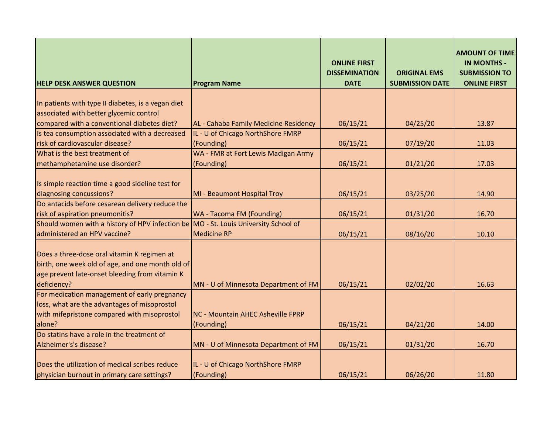| <b>HELP DESK ANSWER QUESTION</b>                                                                                                                                 | <b>Program Name</b>                             | <b>ONLINE FIRST</b><br><b>DISSEMINATION</b><br><b>DATE</b> | <b>ORIGINAL EMS</b><br><b>SUBMISSION DATE</b> | <b>AMOUNT OF TIME</b><br><b>IN MONTHS -</b><br><b>SUBMISSION TO</b><br><b>ONLINE FIRST</b> |
|------------------------------------------------------------------------------------------------------------------------------------------------------------------|-------------------------------------------------|------------------------------------------------------------|-----------------------------------------------|--------------------------------------------------------------------------------------------|
|                                                                                                                                                                  |                                                 |                                                            |                                               |                                                                                            |
| In patients with type II diabetes, is a vegan diet                                                                                                               |                                                 |                                                            |                                               |                                                                                            |
| associated with better glycemic control                                                                                                                          |                                                 |                                                            |                                               |                                                                                            |
| compared with a conventional diabetes diet?                                                                                                                      | AL - Cahaba Family Medicine Residency           | 06/15/21                                                   | 04/25/20                                      | 13.87                                                                                      |
| Is tea consumption associated with a decreased                                                                                                                   | IL - U of Chicago NorthShore FMRP               |                                                            |                                               |                                                                                            |
| risk of cardiovascular disease?                                                                                                                                  | (Founding)                                      | 06/15/21                                                   | 07/19/20                                      | 11.03                                                                                      |
| What is the best treatment of                                                                                                                                    | WA - FMR at Fort Lewis Madigan Army             |                                                            |                                               |                                                                                            |
| methamphetamine use disorder?                                                                                                                                    | (Founding)                                      | 06/15/21                                                   | 01/21/20                                      | 17.03                                                                                      |
|                                                                                                                                                                  |                                                 |                                                            |                                               |                                                                                            |
| Is simple reaction time a good sideline test for                                                                                                                 |                                                 |                                                            |                                               |                                                                                            |
| diagnosing concussions?                                                                                                                                          | MI - Beaumont Hospital Troy                     | 06/15/21                                                   | 03/25/20                                      | 14.90                                                                                      |
| Do antacids before cesarean delivery reduce the                                                                                                                  |                                                 |                                                            |                                               |                                                                                            |
| risk of aspiration pneumonitis?                                                                                                                                  | <b>WA - Tacoma FM (Founding)</b>                | 06/15/21                                                   | 01/31/20                                      | 16.70                                                                                      |
| Should women with a history of HPV infection be MO - St. Louis University School of                                                                              |                                                 |                                                            |                                               |                                                                                            |
| administered an HPV vaccine?                                                                                                                                     | <b>Medicine RP</b>                              | 06/15/21                                                   | 08/16/20                                      | 10.10                                                                                      |
| Does a three-dose oral vitamin K regimen at<br>birth, one week old of age, and one month old of<br>age prevent late-onset bleeding from vitamin K<br>deficiency? | MN - U of Minnesota Department of FM            | 06/15/21                                                   | 02/02/20                                      | 16.63                                                                                      |
| For medication management of early pregnancy                                                                                                                     |                                                 |                                                            |                                               |                                                                                            |
| loss, what are the advantages of misoprostol                                                                                                                     |                                                 |                                                            |                                               |                                                                                            |
| with mifepristone compared with misoprostol                                                                                                                      | <b>NC - Mountain AHEC Asheville FPRP</b>        |                                                            |                                               |                                                                                            |
| alone?                                                                                                                                                           | (Founding)                                      | 06/15/21                                                   | 04/21/20                                      | 14.00                                                                                      |
| Do statins have a role in the treatment of                                                                                                                       |                                                 |                                                            |                                               |                                                                                            |
| Alzheimer's's disease?                                                                                                                                           | MN - U of Minnesota Department of FM            | 06/15/21                                                   | 01/31/20                                      | 16.70                                                                                      |
| Does the utilization of medical scribes reduce<br>physician burnout in primary care settings?                                                                    | IL - U of Chicago NorthShore FMRP<br>(Founding) | 06/15/21                                                   | 06/26/20                                      | 11.80                                                                                      |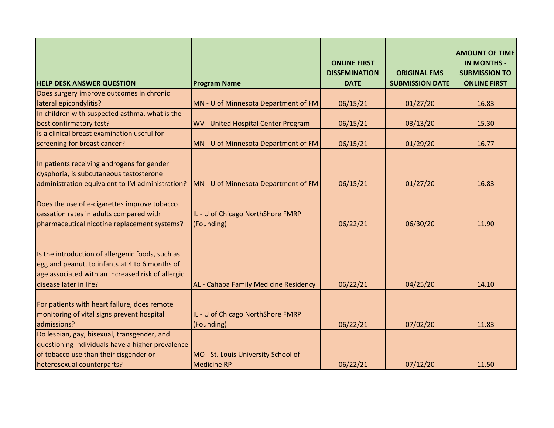| <b>HELP DESK ANSWER QUESTION</b>                                                                                                                                                  | <b>Program Name</b>                                       | <b>ONLINE FIRST</b><br><b>DISSEMINATION</b><br><b>DATE</b> | <b>ORIGINAL EMS</b><br><b>SUBMISSION DATE</b> | <b>AMOUNT OF TIME</b><br><b>IN MONTHS -</b><br><b>SUBMISSION TO</b><br><b>ONLINE FIRST</b> |
|-----------------------------------------------------------------------------------------------------------------------------------------------------------------------------------|-----------------------------------------------------------|------------------------------------------------------------|-----------------------------------------------|--------------------------------------------------------------------------------------------|
| Does surgery improve outcomes in chronic                                                                                                                                          |                                                           |                                                            |                                               |                                                                                            |
| lateral epicondylitis?                                                                                                                                                            | MN - U of Minnesota Department of FM                      | 06/15/21                                                   | 01/27/20                                      | 16.83                                                                                      |
| In children with suspected asthma, what is the                                                                                                                                    |                                                           |                                                            |                                               |                                                                                            |
| best confirmatory test?                                                                                                                                                           | WV - United Hospital Center Program                       | 06/15/21                                                   | 03/13/20                                      | 15.30                                                                                      |
| Is a clinical breast examination useful for                                                                                                                                       |                                                           |                                                            |                                               |                                                                                            |
| screening for breast cancer?                                                                                                                                                      | MN - U of Minnesota Department of FM                      | 06/15/21                                                   | 01/29/20                                      | 16.77                                                                                      |
| In patients receiving androgens for gender<br>dysphoria, is subcutaneous testosterone<br>administration equivalent to IM administration?                                          | MN - U of Minnesota Department of FM                      | 06/15/21                                                   | 01/27/20                                      | 16.83                                                                                      |
| Does the use of e-cigarettes improve tobacco<br>cessation rates in adults compared with<br>pharmaceutical nicotine replacement systems?                                           | IL - U of Chicago NorthShore FMRP<br>(Founding)           | 06/22/21                                                   | 06/30/20                                      | 11.90                                                                                      |
| Is the introduction of allergenic foods, such as<br>egg and peanut, to infants at 4 to 6 months of<br>age associated with an increased risk of allergic<br>disease later in life? | AL - Cahaba Family Medicine Residency                     | 06/22/21                                                   | 04/25/20                                      | 14.10                                                                                      |
| For patients with heart failure, does remote<br>monitoring of vital signs prevent hospital<br>admissions?                                                                         | IL - U of Chicago NorthShore FMRP<br>(Founding)           | 06/22/21                                                   | 07/02/20                                      | 11.83                                                                                      |
| Do lesbian, gay, bisexual, transgender, and<br>questioning individuals have a higher prevalence<br>of tobacco use than their cisgender or<br>heterosexual counterparts?           | MO - St. Louis University School of<br><b>Medicine RP</b> | 06/22/21                                                   | 07/12/20                                      | 11.50                                                                                      |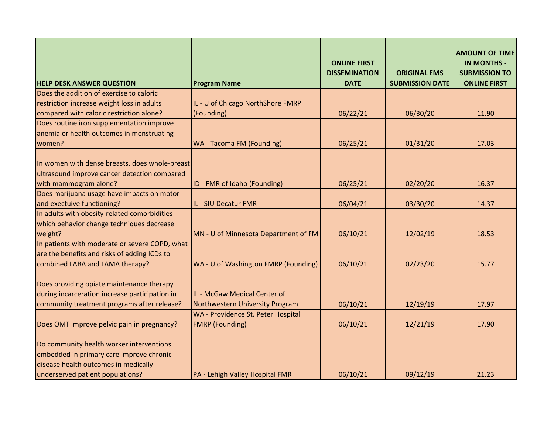| <b>HELP DESK ANSWER QUESTION</b>                                                                                                                                 | <b>Program Name</b>                                             | <b>ONLINE FIRST</b><br><b>DISSEMINATION</b><br><b>DATE</b> | <b>ORIGINAL EMS</b><br><b>SUBMISSION DATE</b> | <b>AMOUNT OF TIME</b><br><b>IN MONTHS -</b><br><b>SUBMISSION TO</b><br><b>ONLINE FIRST</b> |
|------------------------------------------------------------------------------------------------------------------------------------------------------------------|-----------------------------------------------------------------|------------------------------------------------------------|-----------------------------------------------|--------------------------------------------------------------------------------------------|
| Does the addition of exercise to caloric                                                                                                                         |                                                                 |                                                            |                                               |                                                                                            |
| restriction increase weight loss in adults                                                                                                                       | IL - U of Chicago NorthShore FMRP                               |                                                            |                                               |                                                                                            |
| compared with caloric restriction alone?                                                                                                                         | (Founding)                                                      | 06/22/21                                                   | 06/30/20                                      | 11.90                                                                                      |
| Does routine iron supplementation improve                                                                                                                        |                                                                 |                                                            |                                               |                                                                                            |
| anemia or health outcomes in menstruating                                                                                                                        |                                                                 |                                                            |                                               |                                                                                            |
| women?                                                                                                                                                           | <b>WA - Tacoma FM (Founding)</b>                                | 06/25/21                                                   | 01/31/20                                      | 17.03                                                                                      |
| In women with dense breasts, does whole-breast<br>ultrasound improve cancer detection compared<br>with mammogram alone?                                          | ID - FMR of Idaho (Founding)                                    | 06/25/21                                                   | 02/20/20                                      | 16.37                                                                                      |
| Does marijuana usage have impacts on motor                                                                                                                       |                                                                 |                                                            |                                               |                                                                                            |
| and exectuive functioning?                                                                                                                                       | IL - SIU Decatur FMR                                            | 06/04/21                                                   | 03/30/20                                      | 14.37                                                                                      |
| In adults with obesity-related comorbidities                                                                                                                     |                                                                 |                                                            |                                               |                                                                                            |
| which behavior change techniques decrease                                                                                                                        |                                                                 |                                                            |                                               |                                                                                            |
| weight?                                                                                                                                                          | MN - U of Minnesota Department of FM                            | 06/10/21                                                   | 12/02/19                                      | 18.53                                                                                      |
| In patients with moderate or severe COPD, what                                                                                                                   |                                                                 |                                                            |                                               |                                                                                            |
| are the benefits and risks of adding ICDs to                                                                                                                     |                                                                 |                                                            |                                               |                                                                                            |
| combined LABA and LAMA therapy?                                                                                                                                  | WA - U of Washington FMRP (Founding)                            | 06/10/21                                                   | 02/23/20                                      | 15.77                                                                                      |
| Does providing opiate maintenance therapy<br>during incarceration increase participation in<br>community treatment programs after release?                       | IL - McGaw Medical Center of<br>Northwestern University Program | 06/10/21                                                   | 12/19/19                                      | 17.97                                                                                      |
| Does OMT improve pelvic pain in pregnancy?                                                                                                                       | WA - Providence St. Peter Hospital<br><b>FMRP</b> (Founding)    | 06/10/21                                                   | 12/21/19                                      | 17.90                                                                                      |
| Do community health worker interventions<br>embedded in primary care improve chronic<br>disease health outcomes in medically<br>underserved patient populations? | PA - Lehigh Valley Hospital FMR                                 | 06/10/21                                                   | 09/12/19                                      | 21.23                                                                                      |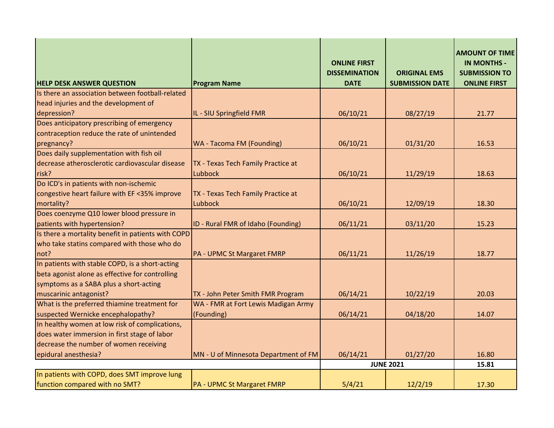| <b>HELP DESK ANSWER QUESTION</b>                   | <b>Program Name</b>                  | <b>ONLINE FIRST</b><br><b>DISSEMINATION</b><br><b>DATE</b> | <b>ORIGINAL EMS</b><br><b>SUBMISSION DATE</b> | <b>AMOUNT OF TIME</b><br><b>IN MONTHS -</b><br><b>SUBMISSION TO</b><br><b>ONLINE FIRST</b> |
|----------------------------------------------------|--------------------------------------|------------------------------------------------------------|-----------------------------------------------|--------------------------------------------------------------------------------------------|
| Is there an association between football-related   |                                      |                                                            |                                               |                                                                                            |
| head injuries and the development of               |                                      |                                                            |                                               |                                                                                            |
| depression?                                        | IL - SIU Springfield FMR             | 06/10/21                                                   | 08/27/19                                      | 21.77                                                                                      |
| Does anticipatory prescribing of emergency         |                                      |                                                            |                                               |                                                                                            |
| contraception reduce the rate of unintended        |                                      |                                                            |                                               |                                                                                            |
| pregnancy?                                         | <b>WA - Tacoma FM (Founding)</b>     | 06/10/21                                                   | 01/31/20                                      | 16.53                                                                                      |
| Does daily supplementation with fish oil           |                                      |                                                            |                                               |                                                                                            |
| decrease atherosclerotic cardiovascular disease    | TX - Texas Tech Family Practice at   |                                                            |                                               |                                                                                            |
| risk?                                              | Lubbock                              | 06/10/21                                                   | 11/29/19                                      | 18.63                                                                                      |
| Do ICD's in patients with non-ischemic             |                                      |                                                            |                                               |                                                                                            |
| congestive heart failure with EF <35% improve      | TX - Texas Tech Family Practice at   |                                                            |                                               |                                                                                            |
| mortality?                                         | <b>Lubbock</b>                       | 06/10/21                                                   | 12/09/19                                      | 18.30                                                                                      |
| Does coenzyme Q10 lower blood pressure in          |                                      |                                                            |                                               |                                                                                            |
| patients with hypertension?                        | ID - Rural FMR of Idaho (Founding)   | 06/11/21                                                   | 03/11/20                                      | 15.23                                                                                      |
| Is there a mortality benefit in patients with COPD |                                      |                                                            |                                               |                                                                                            |
| who take statins compared with those who do        |                                      |                                                            |                                               |                                                                                            |
| not?                                               | PA - UPMC St Margaret FMRP           | 06/11/21                                                   | 11/26/19                                      | 18.77                                                                                      |
| In patients with stable COPD, is a short-acting    |                                      |                                                            |                                               |                                                                                            |
| beta agonist alone as effective for controlling    |                                      |                                                            |                                               |                                                                                            |
| symptoms as a SABA plus a short-acting             |                                      |                                                            |                                               |                                                                                            |
| muscarinic antagonist?                             | TX - John Peter Smith FMR Program    | 06/14/21                                                   | 10/22/19                                      | 20.03                                                                                      |
| What is the preferred thiamine treatment for       | WA - FMR at Fort Lewis Madigan Army  |                                                            |                                               |                                                                                            |
| suspected Wernicke encephalopathy?                 | (Founding)                           | 06/14/21                                                   | 04/18/20                                      | 14.07                                                                                      |
| In healthy women at low risk of complications,     |                                      |                                                            |                                               |                                                                                            |
| does water immersion in first stage of labor       |                                      |                                                            |                                               |                                                                                            |
| decrease the number of women receiving             |                                      |                                                            |                                               |                                                                                            |
| epidural anesthesia?                               | MN - U of Minnesota Department of FM | 06/14/21                                                   | 01/27/20                                      | 16.80                                                                                      |
|                                                    |                                      |                                                            | <b>JUNE 2021</b>                              | 15.81                                                                                      |
| In patients with COPD, does SMT improve lung       |                                      |                                                            |                                               |                                                                                            |
| function compared with no SMT?                     | PA - UPMC St Margaret FMRP           | 5/4/21                                                     | 12/2/19                                       | 17.30                                                                                      |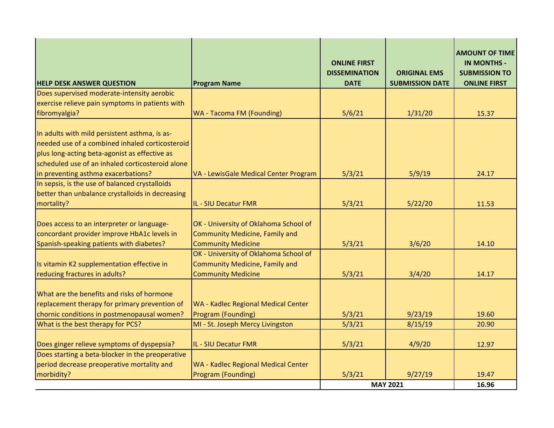| <b>HELP DESK ANSWER QUESTION</b>                                                                                                                                                                      | <b>Program Name</b>                                                                                         | <b>ONLINE FIRST</b><br><b>DISSEMINATION</b><br><b>DATE</b> | <b>ORIGINAL EMS</b><br><b>SUBMISSION DATE</b> | <b>AMOUNT OF TIME</b><br><b>IN MONTHS -</b><br><b>SUBMISSION TO</b><br><b>ONLINE FIRST</b> |
|-------------------------------------------------------------------------------------------------------------------------------------------------------------------------------------------------------|-------------------------------------------------------------------------------------------------------------|------------------------------------------------------------|-----------------------------------------------|--------------------------------------------------------------------------------------------|
| Does supervised moderate-intensity aerobic                                                                                                                                                            |                                                                                                             |                                                            |                                               |                                                                                            |
| exercise relieve pain symptoms in patients with                                                                                                                                                       |                                                                                                             |                                                            |                                               |                                                                                            |
| fibromyalgia?                                                                                                                                                                                         | <b>WA - Tacoma FM (Founding)</b>                                                                            | 5/6/21                                                     | 1/31/20                                       | 15.37                                                                                      |
| In adults with mild persistent asthma, is as-<br>needed use of a combined inhaled corticosteroid<br>plus long-acting beta-agonist as effective as<br>scheduled use of an inhaled corticosteroid alone |                                                                                                             |                                                            |                                               |                                                                                            |
| in preventing asthma exacerbations?                                                                                                                                                                   | VA - LewisGale Medical Center Program                                                                       | 5/3/21                                                     | 5/9/19                                        | 24.17                                                                                      |
| In sepsis, is the use of balanced crystalloids                                                                                                                                                        |                                                                                                             |                                                            |                                               |                                                                                            |
| better than unbalance crystalloids in decreasing                                                                                                                                                      |                                                                                                             |                                                            |                                               |                                                                                            |
| mortality?                                                                                                                                                                                            | IL - SIU Decatur FMR                                                                                        | 5/3/21                                                     | 5/22/20                                       | 11.53                                                                                      |
| Does access to an interpreter or language-<br>concordant provider improve HbA1c levels in<br>Spanish-speaking patients with diabetes?                                                                 | OK - University of Oklahoma School of<br><b>Community Medicine, Family and</b><br><b>Community Medicine</b> | 5/3/21                                                     | 3/6/20                                        | 14.10                                                                                      |
| Is vitamin K2 supplementation effective in<br>reducing fractures in adults?                                                                                                                           | OK - University of Oklahoma School of<br><b>Community Medicine, Family and</b><br><b>Community Medicine</b> | 5/3/21                                                     | 3/4/20                                        | 14.17                                                                                      |
| What are the benefits and risks of hormone<br>replacement therapy for primary prevention of<br>chornic conditions in postmenopausal women?                                                            | <b>WA - Kadlec Regional Medical Center</b><br>Program (Founding)                                            | 5/3/21                                                     | 9/23/19                                       | 19.60                                                                                      |
| What is the best therapy for PCS?                                                                                                                                                                     | MI - St. Joseph Mercy Livingston                                                                            | 5/3/21                                                     | 8/15/19                                       | 20.90                                                                                      |
| Does ginger relieve symptoms of dyspepsia?                                                                                                                                                            | IL - SIU Decatur FMR                                                                                        | 5/3/21                                                     | 4/9/20                                        | 12.97                                                                                      |
| Does starting a beta-blocker in the preoperative                                                                                                                                                      |                                                                                                             |                                                            |                                               |                                                                                            |
| period decrease preoperative mortality and                                                                                                                                                            | <b>WA - Kadlec Regional Medical Center</b>                                                                  |                                                            |                                               |                                                                                            |
| morbidity?                                                                                                                                                                                            | Program (Founding)                                                                                          | 5/3/21                                                     | 9/27/19<br><b>MAY 2021</b>                    | 19.47<br>16.96                                                                             |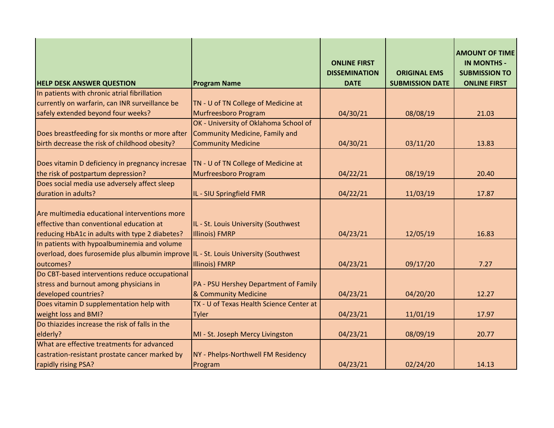| <b>HELP DESK ANSWER QUESTION</b>                                                                                                                 | <b>Program Name</b>                                           | <b>ONLINE FIRST</b><br><b>DISSEMINATION</b><br><b>DATE</b> | <b>ORIGINAL EMS</b><br><b>SUBMISSION DATE</b> | <b>AMOUNT OF TIME</b><br><b>IN MONTHS -</b><br><b>SUBMISSION TO</b><br><b>ONLINE FIRST</b> |
|--------------------------------------------------------------------------------------------------------------------------------------------------|---------------------------------------------------------------|------------------------------------------------------------|-----------------------------------------------|--------------------------------------------------------------------------------------------|
| In patients with chronic atrial fibrillation                                                                                                     |                                                               |                                                            |                                               |                                                                                            |
| currently on warfarin, can INR surveillance be                                                                                                   | TN - U of TN College of Medicine at                           |                                                            |                                               |                                                                                            |
| safely extended beyond four weeks?                                                                                                               | Murfreesboro Program                                          | 04/30/21                                                   | 08/08/19                                      | 21.03                                                                                      |
|                                                                                                                                                  | OK - University of Oklahoma School of                         |                                                            |                                               |                                                                                            |
| Does breastfeeding for six months or more after                                                                                                  | <b>Community Medicine, Family and</b>                         |                                                            |                                               |                                                                                            |
| birth decrease the risk of childhood obesity?                                                                                                    | <b>Community Medicine</b>                                     | 04/30/21                                                   | 03/11/20                                      | 13.83                                                                                      |
| Does vitamin D deficiency in pregnancy incresae<br>the risk of postpartum depression?                                                            | TN - U of TN College of Medicine at<br>Murfreesboro Program   | 04/22/21                                                   | 08/19/19                                      | 20.40                                                                                      |
| Does social media use adversely affect sleep                                                                                                     |                                                               |                                                            |                                               |                                                                                            |
| duration in adults?                                                                                                                              | IL - SIU Springfield FMR                                      | 04/22/21                                                   | 11/03/19                                      | 17.87                                                                                      |
| Are multimedia educational interventions more<br>effective than conventional education at<br>reducing HbA1c in adults with type 2 diabetes?      | IL - St. Louis University (Southwest<br><b>Illinois) FMRP</b> | 04/23/21                                                   | 12/05/19                                      | 16.83                                                                                      |
| In patients with hypoalbuminemia and volume<br>overload, does furosemide plus albumin improve  IL - St. Louis University (Southwest<br>outcomes? | Illinois) FMRP                                                | 04/23/21                                                   | 09/17/20                                      | 7.27                                                                                       |
| Do CBT-based interventions reduce occupational                                                                                                   |                                                               |                                                            |                                               |                                                                                            |
| stress and burnout among physicians in                                                                                                           | PA - PSU Hershey Department of Family                         |                                                            |                                               |                                                                                            |
| developed countries?                                                                                                                             | & Community Medicine                                          | 04/23/21                                                   | 04/20/20                                      | 12.27                                                                                      |
| Does vitamin D supplementation help with                                                                                                         | TX - U of Texas Health Science Center at                      |                                                            |                                               |                                                                                            |
| weight loss and BMI?                                                                                                                             | <b>Tyler</b>                                                  | 04/23/21                                                   | 11/01/19                                      | 17.97                                                                                      |
| Do thiazides increase the risk of falls in the                                                                                                   |                                                               |                                                            |                                               |                                                                                            |
| elderly?                                                                                                                                         | MI - St. Joseph Mercy Livingston                              | 04/23/21                                                   | 08/09/19                                      | 20.77                                                                                      |
| What are effective treatments for advanced<br>castration-resistant prostate cancer marked by                                                     | NY - Phelps-Northwell FM Residency                            |                                                            |                                               |                                                                                            |
| rapidly rising PSA?                                                                                                                              | Program                                                       | 04/23/21                                                   | 02/24/20                                      | 14.13                                                                                      |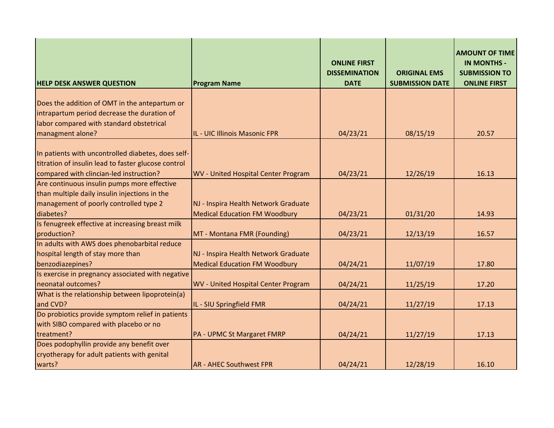| <b>HELP DESK ANSWER QUESTION</b>                    | <b>Program Name</b>                        | <b>ONLINE FIRST</b><br><b>DISSEMINATION</b><br><b>DATE</b> | <b>ORIGINAL EMS</b><br><b>SUBMISSION DATE</b> | <b>AMOUNT OF TIME</b><br><b>IN MONTHS -</b><br><b>SUBMISSION TO</b><br><b>ONLINE FIRST</b> |
|-----------------------------------------------------|--------------------------------------------|------------------------------------------------------------|-----------------------------------------------|--------------------------------------------------------------------------------------------|
|                                                     |                                            |                                                            |                                               |                                                                                            |
| Does the addition of OMT in the antepartum or       |                                            |                                                            |                                               |                                                                                            |
| intrapartum period decrease the duration of         |                                            |                                                            |                                               |                                                                                            |
| labor compared with standard obstetrical            |                                            |                                                            |                                               |                                                                                            |
| managment alone?                                    | IL - UIC Illinois Masonic FPR              | 04/23/21                                                   | 08/15/19                                      | 20.57                                                                                      |
| In patients with uncontrolled diabetes, does self-  |                                            |                                                            |                                               |                                                                                            |
| titration of insulin lead to faster glucose control |                                            |                                                            |                                               |                                                                                            |
| compared with clincian-led instruction?             | <b>WV</b> - United Hospital Center Program | 04/23/21                                                   | 12/26/19                                      | 16.13                                                                                      |
| Are continuous insulin pumps more effective         |                                            |                                                            |                                               |                                                                                            |
| than multiple daily insulin injections in the       |                                            |                                                            |                                               |                                                                                            |
| management of poorly controlled type 2              | NJ - Inspira Health Network Graduate       |                                                            |                                               |                                                                                            |
| diabetes?                                           | <b>Medical Education FM Woodbury</b>       | 04/23/21                                                   | 01/31/20                                      | 14.93                                                                                      |
| Is fenugreek effective at increasing breast milk    |                                            |                                                            |                                               |                                                                                            |
| production?                                         | MT - Montana FMR (Founding)                | 04/23/21                                                   | 12/13/19                                      | 16.57                                                                                      |
| In adults with AWS does phenobarbital reduce        |                                            |                                                            |                                               |                                                                                            |
| hospital length of stay more than                   | NJ - Inspira Health Network Graduate       |                                                            |                                               |                                                                                            |
| benzodiazepines?                                    | <b>Medical Education FM Woodbury</b>       | 04/24/21                                                   | 11/07/19                                      | 17.80                                                                                      |
| Is exercise in pregnancy associated with negative   |                                            |                                                            |                                               |                                                                                            |
| neonatal outcomes?                                  | <b>WV</b> - United Hospital Center Program | 04/24/21                                                   | 11/25/19                                      | 17.20                                                                                      |
| What is the relationship between lipoprotein(a)     |                                            |                                                            |                                               |                                                                                            |
| and CVD?                                            | IL - SIU Springfield FMR                   | 04/24/21                                                   | 11/27/19                                      | 17.13                                                                                      |
| Do probiotics provide symptom relief in patients    |                                            |                                                            |                                               |                                                                                            |
| with SIBO compared with placebo or no               |                                            |                                                            |                                               |                                                                                            |
| treatment?                                          | <b>PA - UPMC St Margaret FMRP</b>          | 04/24/21                                                   | 11/27/19                                      | 17.13                                                                                      |
| Does podophyllin provide any benefit over           |                                            |                                                            |                                               |                                                                                            |
| cryotherapy for adult patients with genital         |                                            |                                                            |                                               |                                                                                            |
| warts?                                              | <b>AR - AHEC Southwest FPR</b>             | 04/24/21                                                   | 12/28/19                                      | 16.10                                                                                      |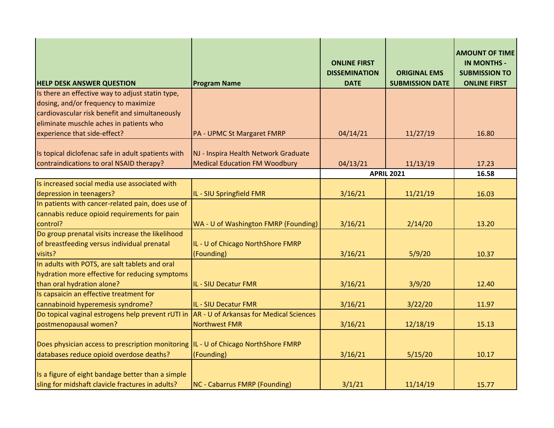| <b>HELP DESK ANSWER QUESTION</b>                                                                      | <b>Program Name</b>                            | <b>ONLINE FIRST</b><br><b>DISSEMINATION</b><br><b>DATE</b> | <b>ORIGINAL EMS</b><br><b>SUBMISSION DATE</b> | <b>AMOUNT OF TIME</b><br><b>IN MONTHS -</b><br><b>SUBMISSION TO</b><br><b>ONLINE FIRST</b> |
|-------------------------------------------------------------------------------------------------------|------------------------------------------------|------------------------------------------------------------|-----------------------------------------------|--------------------------------------------------------------------------------------------|
| Is there an effective way to adjust statin type,                                                      |                                                |                                                            |                                               |                                                                                            |
| dosing, and/or frequency to maximize                                                                  |                                                |                                                            |                                               |                                                                                            |
| cardiovascular risk benefit and simultaneously                                                        |                                                |                                                            |                                               |                                                                                            |
| eliminate muschle aches in patients who                                                               |                                                |                                                            |                                               |                                                                                            |
| experience that side-effect?                                                                          | PA - UPMC St Margaret FMRP                     | 04/14/21                                                   | 11/27/19                                      | 16.80                                                                                      |
| Is topical diclofenac safe in adult spatients with                                                    | NJ - Inspira Health Network Graduate           |                                                            |                                               |                                                                                            |
| contraindications to oral NSAID therapy?                                                              | <b>Medical Education FM Woodbury</b>           | 04/13/21                                                   | 11/13/19                                      | 17.23                                                                                      |
|                                                                                                       |                                                |                                                            | <b>APRIL 2021</b>                             | 16.58                                                                                      |
| Is increased social media use associated with                                                         |                                                |                                                            |                                               |                                                                                            |
| depression in teenagers?                                                                              | IL - SIU Springfield FMR                       | 3/16/21                                                    | 11/21/19                                      | 16.03                                                                                      |
| In patients with cancer-related pain, does use of                                                     |                                                |                                                            |                                               |                                                                                            |
| cannabis reduce opioid requirements for pain                                                          |                                                |                                                            |                                               |                                                                                            |
| control?                                                                                              | WA - U of Washington FMRP (Founding)           | 3/16/21                                                    | 2/14/20                                       | 13.20                                                                                      |
| Do group prenatal visits increase the likelihood                                                      |                                                |                                                            |                                               |                                                                                            |
| of breastfeeding versus individual prenatal                                                           | IL - U of Chicago NorthShore FMRP              |                                                            |                                               |                                                                                            |
| visits?                                                                                               | (Founding)                                     | 3/16/21                                                    | 5/9/20                                        | 10.37                                                                                      |
| In adults with POTS, are salt tablets and oral                                                        |                                                |                                                            |                                               |                                                                                            |
| hydration more effective for reducing symptoms                                                        |                                                |                                                            |                                               |                                                                                            |
| than oral hydration alone?                                                                            | IL - SIU Decatur FMR                           | 3/16/21                                                    | 3/9/20                                        | 12.40                                                                                      |
| Is capsaicin an effective treatment for                                                               |                                                |                                                            |                                               |                                                                                            |
| cannabinoid hyperemesis syndrome?                                                                     | <b>IL - SIU Decatur FMR</b>                    | 3/16/21                                                    | 3/22/20                                       | 11.97                                                                                      |
| Do topical vaginal estrogens help prevent rUTI in                                                     | <b>AR - U of Arkansas for Medical Sciences</b> |                                                            |                                               |                                                                                            |
| postmenopausal women?                                                                                 | Northwest FMR                                  | 3/16/21                                                    | 12/18/19                                      | 15.13                                                                                      |
| Does physician access to prescription monitoring                                                      | IL - U of Chicago NorthShore FMRP              |                                                            |                                               |                                                                                            |
| databases reduce opioid overdose deaths?                                                              | (Founding)                                     | 3/16/21                                                    | 5/15/20                                       | 10.17                                                                                      |
| Is a figure of eight bandage better than a simple<br>sling for midshaft clavicle fractures in adults? | <b>NC - Cabarrus FMRP (Founding)</b>           | 3/1/21                                                     | 11/14/19                                      | 15.77                                                                                      |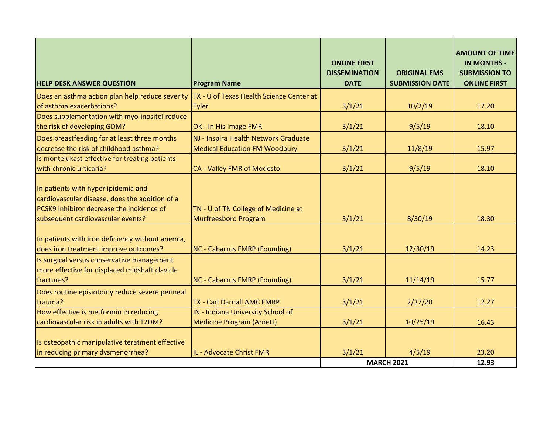| <b>HELP DESK ANSWER QUESTION</b>                                                                                                                                        | <b>Program Name</b>                                                          | <b>ONLINE FIRST</b><br><b>DISSEMINATION</b><br><b>DATE</b> | <b>ORIGINAL EMS</b><br><b>SUBMISSION DATE</b> | <b>AMOUNT OF TIME</b><br><b>IN MONTHS -</b><br><b>SUBMISSION TO</b><br><b>ONLINE FIRST</b> |
|-------------------------------------------------------------------------------------------------------------------------------------------------------------------------|------------------------------------------------------------------------------|------------------------------------------------------------|-----------------------------------------------|--------------------------------------------------------------------------------------------|
| Does an asthma action plan help reduce severity                                                                                                                         | TX - U of Texas Health Science Center at                                     |                                                            |                                               |                                                                                            |
| of asthma exacerbations?                                                                                                                                                | <b>Tyler</b>                                                                 | 3/1/21                                                     | 10/2/19                                       | 17.20                                                                                      |
| Does supplementation with myo-inositol reduce<br>the risk of developing GDM?                                                                                            | OK - In His Image FMR                                                        | 3/1/21                                                     | 9/5/19                                        | 18.10                                                                                      |
| Does breastfeeding for at least three months<br>decrease the risk of childhood asthma?                                                                                  | NJ - Inspira Health Network Graduate<br><b>Medical Education FM Woodbury</b> | 3/1/21                                                     | 11/8/19                                       | 15.97                                                                                      |
| Is montelukast effective for treating patients<br>with chronic urticaria?                                                                                               | CA - Valley FMR of Modesto                                                   | 3/1/21                                                     | 9/5/19                                        | 18.10                                                                                      |
| In patients with hyperlipidemia and<br>cardiovascular disease, does the addition of a<br>PCSK9 inhibitor decrease the incidence of<br>subsequent cardiovascular events? | TN - U of TN College of Medicine at<br>Murfreesboro Program                  | 3/1/21                                                     | 8/30/19                                       | 18.30                                                                                      |
| In patients with iron deficiency without anemia,<br>does iron treatment improve outcomes?                                                                               | <b>NC - Cabarrus FMRP (Founding)</b>                                         | 3/1/21                                                     | 12/30/19                                      | 14.23                                                                                      |
| Is surgical versus conservative management<br>more effective for displaced midshaft clavicle<br>fractures?                                                              | <b>NC - Cabarrus FMRP (Founding)</b>                                         | 3/1/21                                                     | 11/14/19                                      | 15.77                                                                                      |
| Does routine episiotomy reduce severe perineal<br>trauma?                                                                                                               | TX - Carl Darnall AMC FMRP                                                   | 3/1/21                                                     | 2/27/20                                       | 12.27                                                                                      |
| How effective is metformin in reducing                                                                                                                                  | IN - Indiana University School of                                            |                                                            |                                               |                                                                                            |
| cardiovascular risk in adults with T2DM?                                                                                                                                | <b>Medicine Program (Arnett)</b>                                             | 3/1/21                                                     | 10/25/19                                      | 16.43                                                                                      |
| Is osteopathic manipulative teratment effective                                                                                                                         | IL - Advocate Christ FMR                                                     |                                                            |                                               | 23.20                                                                                      |
| in reducing primary dysmenorrhea?                                                                                                                                       |                                                                              | 3/1/21                                                     | 4/5/19<br><b>MARCH 2021</b>                   | 12.93                                                                                      |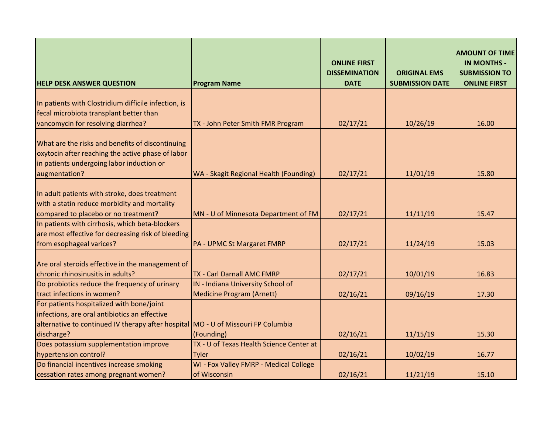| <b>HELP DESK ANSWER QUESTION</b>                                                                                                                   | <b>Program Name</b>                      | <b>ONLINE FIRST</b><br><b>DISSEMINATION</b><br><b>DATE</b> | <b>ORIGINAL EMS</b><br><b>SUBMISSION DATE</b> | <b>AMOUNT OF TIME</b><br><b>IN MONTHS -</b><br><b>SUBMISSION TO</b><br><b>ONLINE FIRST</b> |
|----------------------------------------------------------------------------------------------------------------------------------------------------|------------------------------------------|------------------------------------------------------------|-----------------------------------------------|--------------------------------------------------------------------------------------------|
|                                                                                                                                                    |                                          |                                                            |                                               |                                                                                            |
| In patients with Clostridium difficile infection, is                                                                                               |                                          |                                                            |                                               |                                                                                            |
| fecal microbiota transplant better than                                                                                                            |                                          |                                                            |                                               |                                                                                            |
| vancomycin for resolving diarrhea?                                                                                                                 | TX - John Peter Smith FMR Program        | 02/17/21                                                   | 10/26/19                                      | 16.00                                                                                      |
| What are the risks and benefits of discontinuing<br>oxytocin after reaching the active phase of labor<br>in patients undergoing labor induction or |                                          |                                                            |                                               |                                                                                            |
| augmentation?                                                                                                                                      | WA - Skagit Regional Health (Founding)   | 02/17/21                                                   | 11/01/19                                      | 15.80                                                                                      |
| In adult patients with stroke, does treatment<br>with a statin reduce morbidity and mortality<br>compared to placebo or no treatment?              | MN - U of Minnesota Department of FM     | 02/17/21                                                   | 11/11/19                                      | 15.47                                                                                      |
| In patients with cirrhosis, which beta-blockers                                                                                                    |                                          |                                                            |                                               |                                                                                            |
| are most effective for decreasing risk of bleeding                                                                                                 |                                          |                                                            |                                               |                                                                                            |
| from esophageal varices?                                                                                                                           | PA - UPMC St Margaret FMRP               | 02/17/21                                                   | 11/24/19                                      | 15.03                                                                                      |
| Are oral steroids effective in the management of<br>chronic rhinosinusitis in adults?                                                              | TX - Carl Darnall AMC FMRP               | 02/17/21                                                   | 10/01/19                                      | 16.83                                                                                      |
| Do probiotics reduce the frequency of urinary                                                                                                      | IN - Indiana University School of        |                                                            |                                               |                                                                                            |
| tract infections in women?                                                                                                                         | <b>Medicine Program (Arnett)</b>         | 02/16/21                                                   | 09/16/19                                      | 17.30                                                                                      |
| For patients hospitalized with bone/joint                                                                                                          |                                          |                                                            |                                               |                                                                                            |
| infections, are oral antibiotics an effective                                                                                                      |                                          |                                                            |                                               |                                                                                            |
| alternative to continued IV therapy after hospital MO - U of Missouri FP Columbia                                                                  |                                          |                                                            |                                               |                                                                                            |
| discharge?                                                                                                                                         | (Founding)                               | 02/16/21                                                   | 11/15/19                                      | 15.30                                                                                      |
| Does potassium supplementation improve                                                                                                             | TX - U of Texas Health Science Center at |                                                            |                                               |                                                                                            |
| hypertension control?                                                                                                                              | <b>Tyler</b>                             | 02/16/21                                                   | 10/02/19                                      | 16.77                                                                                      |
| Do financial incentives increase smoking                                                                                                           | WI - Fox Valley FMRP - Medical College   |                                                            |                                               |                                                                                            |
| cessation rates among pregnant women?                                                                                                              | of Wisconsin                             | 02/16/21                                                   | 11/21/19                                      | 15.10                                                                                      |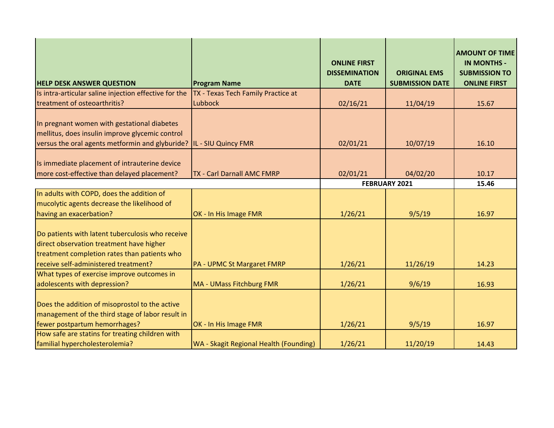| <b>HELP DESK ANSWER QUESTION</b>                                                                                                                                                     | <b>Program Name</b>                    | <b>ONLINE FIRST</b><br><b>DISSEMINATION</b><br><b>DATE</b> | <b>ORIGINAL EMS</b><br><b>SUBMISSION DATE</b> | <b>AMOUNT OF TIME</b><br><b>IN MONTHS -</b><br><b>SUBMISSION TO</b><br><b>ONLINE FIRST</b> |
|--------------------------------------------------------------------------------------------------------------------------------------------------------------------------------------|----------------------------------------|------------------------------------------------------------|-----------------------------------------------|--------------------------------------------------------------------------------------------|
| Is intra-articular saline injection effective for the                                                                                                                                | TX - Texas Tech Family Practice at     |                                                            |                                               |                                                                                            |
| treatment of osteoarthritis?                                                                                                                                                         | <b>Lubbock</b>                         | 02/16/21                                                   | 11/04/19                                      | 15.67                                                                                      |
| In pregnant women with gestational diabetes<br>mellitus, does insulin improve glycemic control<br>versus the oral agents metformin and glyburide? IL - SIU Quincy FMR                |                                        | 02/01/21                                                   | 10/07/19                                      | 16.10                                                                                      |
| Is immediate placement of intrauterine device<br>more cost-effective than delayed placement?                                                                                         | <b>TX - Carl Darnall AMC FMRP</b>      | 02/01/21                                                   | 04/02/20                                      | 10.17                                                                                      |
|                                                                                                                                                                                      |                                        | FEBRUARY 2021                                              |                                               | 15.46                                                                                      |
| In adults with COPD, does the addition of<br>mucolytic agents decrease the likelihood of<br>having an exacerbation?                                                                  | OK - In His Image FMR                  | 1/26/21                                                    | 9/5/19                                        | 16.97                                                                                      |
| Do patients with latent tuberculosis who receive<br>direct observation treatment have higher<br>treatment completion rates than patients who<br>receive self-administered treatment? | PA - UPMC St Margaret FMRP             | 1/26/21                                                    | 11/26/19                                      | 14.23                                                                                      |
| What types of exercise improve outcomes in<br>adolescents with depression?                                                                                                           | <b>MA - UMass Fitchburg FMR</b>        | 1/26/21                                                    | 9/6/19                                        | 16.93                                                                                      |
| Does the addition of misoprostol to the active<br>management of the third stage of labor result in<br>fewer postpartum hemorrhages?                                                  | OK - In His Image FMR                  | 1/26/21                                                    | 9/5/19                                        | 16.97                                                                                      |
| How safe are statins for treating children with<br>familial hypercholesterolemia?                                                                                                    | WA - Skagit Regional Health (Founding) | 1/26/21                                                    | 11/20/19                                      | 14.43                                                                                      |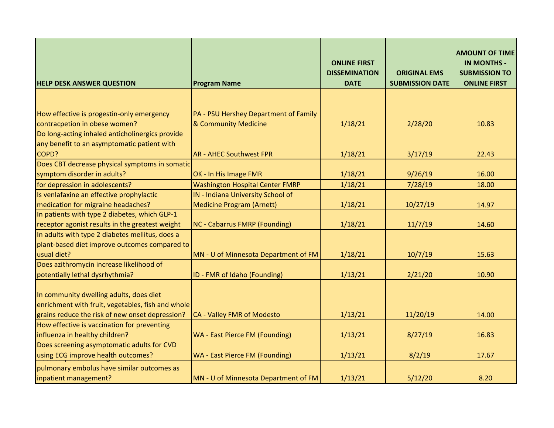| <b>HELP DESK ANSWER QUESTION</b>                                                             | <b>Program Name</b>                                           | <b>ONLINE FIRST</b><br><b>DISSEMINATION</b><br><b>DATE</b> | <b>ORIGINAL EMS</b><br><b>SUBMISSION DATE</b> | <b>AMOUNT OF TIME</b><br><b>IN MONTHS -</b><br><b>SUBMISSION TO</b><br><b>ONLINE FIRST</b> |
|----------------------------------------------------------------------------------------------|---------------------------------------------------------------|------------------------------------------------------------|-----------------------------------------------|--------------------------------------------------------------------------------------------|
|                                                                                              |                                                               |                                                            |                                               |                                                                                            |
| How effective is progestin-only emergency<br>contracpetion in obese women?                   | PA - PSU Hershey Department of Family<br>& Community Medicine | 1/18/21                                                    | 2/28/20                                       | 10.83                                                                                      |
| Do long-acting inhaled anticholinergics provide                                              |                                                               |                                                            |                                               |                                                                                            |
| any benefit to an asymptomatic patient with                                                  |                                                               |                                                            |                                               |                                                                                            |
| COPD?                                                                                        | <b>AR - AHEC Southwest FPR</b>                                | 1/18/21                                                    | 3/17/19                                       | 22.43                                                                                      |
| Does CBT decrease physical symptoms in somatic                                               |                                                               |                                                            |                                               |                                                                                            |
| symptom disorder in adults?                                                                  | OK - In His Image FMR                                         | 1/18/21                                                    | 9/26/19                                       | 16.00                                                                                      |
| for depression in adolescents?                                                               | <b>Washington Hospital Center FMRP</b>                        | 1/18/21                                                    | 7/28/19                                       | 18.00                                                                                      |
| Is venlafaxine an effective prophylactic                                                     | IN - Indiana University School of                             |                                                            |                                               |                                                                                            |
| medication for migraine headaches?                                                           | <b>Medicine Program (Arnett)</b>                              | 1/18/21                                                    | 10/27/19                                      | 14.97                                                                                      |
| In patients with type 2 diabetes, which GLP-1                                                |                                                               |                                                            |                                               |                                                                                            |
| receptor agonist results in the greatest weight                                              | <b>NC - Cabarrus FMRP (Founding)</b>                          | 1/18/21                                                    | 11/7/19                                       | 14.60                                                                                      |
| In adults with type 2 diabetes mellitus, does a                                              |                                                               |                                                            |                                               |                                                                                            |
| plant-based diet improve outcomes compared to                                                |                                                               |                                                            |                                               |                                                                                            |
| usual diet?                                                                                  | MN - U of Minnesota Department of FM                          | 1/18/21                                                    | 10/7/19                                       | 15.63                                                                                      |
| Does azithromycin increase likelihood of                                                     |                                                               |                                                            |                                               |                                                                                            |
| potentially lethal dysrhythmia?                                                              | ID - FMR of Idaho (Founding)                                  | 1/13/21                                                    | 2/21/20                                       | 10.90                                                                                      |
| In community dwelling adults, does diet<br>enrichment with fruit, vegetables, fish and whole |                                                               |                                                            |                                               |                                                                                            |
| grains reduce the risk of new onset depression?                                              | CA - Valley FMR of Modesto                                    | 1/13/21                                                    | 11/20/19                                      | 14.00                                                                                      |
| How effective is vaccination for preventing                                                  |                                                               |                                                            |                                               |                                                                                            |
| influenza in healthy children?                                                               | WA - East Pierce FM (Founding)                                | 1/13/21                                                    | 8/27/19                                       | 16.83                                                                                      |
| Does screening asymptomatic adults for CVD                                                   |                                                               |                                                            |                                               |                                                                                            |
| using ECG improve health outcomes?                                                           | WA - East Pierce FM (Founding)                                | 1/13/21                                                    | 8/2/19                                        | 17.67                                                                                      |
| pulmonary embolus have similar outcomes as<br>inpatient management?                          | MN - U of Minnesota Department of FM                          | 1/13/21                                                    | 5/12/20                                       | 8.20                                                                                       |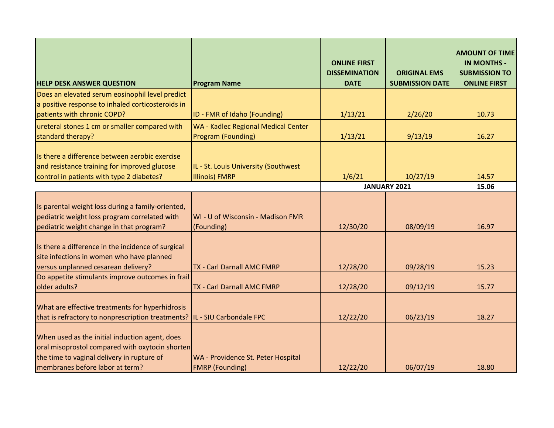| <b>HELP DESK ANSWER QUESTION</b>                                                                                                                                                   | <b>Program Name</b>                                           | <b>ONLINE FIRST</b><br><b>DISSEMINATION</b><br><b>DATE</b> | <b>ORIGINAL EMS</b><br><b>SUBMISSION DATE</b> | <b>AMOUNT OF TIME</b><br><b>IN MONTHS -</b><br><b>SUBMISSION TO</b><br><b>ONLINE FIRST</b> |
|------------------------------------------------------------------------------------------------------------------------------------------------------------------------------------|---------------------------------------------------------------|------------------------------------------------------------|-----------------------------------------------|--------------------------------------------------------------------------------------------|
| Does an elevated serum eosinophil level predict                                                                                                                                    |                                                               |                                                            |                                               |                                                                                            |
| a positive response to inhaled corticosteroids in                                                                                                                                  |                                                               |                                                            |                                               |                                                                                            |
| patients with chronic COPD?                                                                                                                                                        | ID - FMR of Idaho (Founding)                                  | 1/13/21                                                    | 2/26/20                                       | 10.73                                                                                      |
| ureteral stones 1 cm or smaller compared with                                                                                                                                      | WA - Kadlec Regional Medical Center                           |                                                            |                                               |                                                                                            |
| standard therapy?                                                                                                                                                                  | Program (Founding)                                            | 1/13/21                                                    | 9/13/19                                       | 16.27                                                                                      |
| Is there a difference between aerobic exercise<br>and resistance training for improved glucose<br>control in patients with type 2 diabetes?                                        | IL - St. Louis University (Southwest<br><b>Illinois) FMRP</b> | 1/6/21                                                     | 10/27/19                                      | 14.57                                                                                      |
|                                                                                                                                                                                    |                                                               |                                                            | JANUARY 2021                                  | 15.06                                                                                      |
| Is parental weight loss during a family-oriented,<br>pediatric weight loss program correlated with<br>pediatric weight change in that program?                                     | WI - U of Wisconsin - Madison FMR<br>(Founding)               | 12/30/20                                                   | 08/09/19                                      | 16.97                                                                                      |
| Is there a difference in the incidence of surgical<br>site infections in women who have planned<br>versus unplanned cesarean delivery?                                             | TX - Carl Darnall AMC FMRP                                    | 12/28/20                                                   | 09/28/19                                      | 15.23                                                                                      |
| Do appetite stimulants improve outcomes in frail<br>older adults?                                                                                                                  | <b>TX - Carl Darnall AMC FMRP</b>                             | 12/28/20                                                   | 09/12/19                                      | 15.77                                                                                      |
| What are effective treatments for hyperhidrosis<br>that is refractory to nonprescription treatments? IL - SIU Carbondale FPC                                                       |                                                               | 12/22/20                                                   | 06/23/19                                      | 18.27                                                                                      |
| When used as the initial induction agent, does<br>oral misoprostol compared with oxytocin shorten<br>the time to vaginal delivery in rupture of<br>membranes before labor at term? | WA - Providence St. Peter Hospital<br><b>FMRP</b> (Founding)  | 12/22/20                                                   | 06/07/19                                      | 18.80                                                                                      |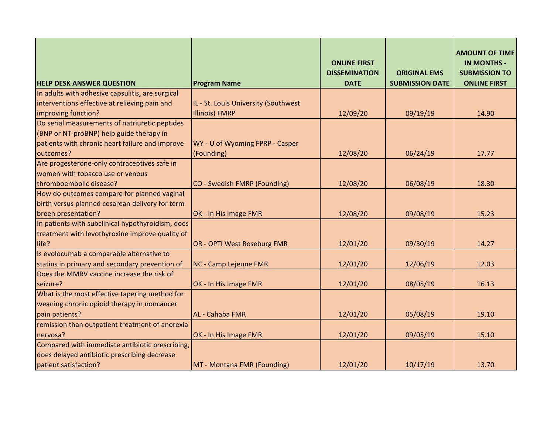| <b>HELP DESK ANSWER QUESTION</b>                  | <b>Program Name</b>                  | <b>ONLINE FIRST</b><br><b>DISSEMINATION</b><br><b>DATE</b> | <b>ORIGINAL EMS</b><br><b>SUBMISSION DATE</b> | <b>AMOUNT OF TIME</b><br><b>IN MONTHS -</b><br><b>SUBMISSION TO</b><br><b>ONLINE FIRST</b> |
|---------------------------------------------------|--------------------------------------|------------------------------------------------------------|-----------------------------------------------|--------------------------------------------------------------------------------------------|
| In adults with adhesive capsulitis, are surgical  |                                      |                                                            |                                               |                                                                                            |
| interventions effective at relieving pain and     | IL - St. Louis University (Southwest |                                                            |                                               |                                                                                            |
| improving function?                               | <b>Illinois) FMRP</b>                | 12/09/20                                                   | 09/19/19                                      | 14.90                                                                                      |
| Do serial measurements of natriuretic peptides    |                                      |                                                            |                                               |                                                                                            |
| (BNP or NT-proBNP) help guide therapy in          |                                      |                                                            |                                               |                                                                                            |
| patients with chronic heart failure and improve   | WY - U of Wyoming FPRP - Casper      |                                                            |                                               |                                                                                            |
| outcomes?                                         | (Founding)                           | 12/08/20                                                   | 06/24/19                                      | 17.77                                                                                      |
| Are progesterone-only contraceptives safe in      |                                      |                                                            |                                               |                                                                                            |
| women with tobacco use or venous                  |                                      |                                                            |                                               |                                                                                            |
| thromboembolic disease?                           | CO - Swedish FMRP (Founding)         | 12/08/20                                                   | 06/08/19                                      | 18.30                                                                                      |
| How do outcomes compare for planned vaginal       |                                      |                                                            |                                               |                                                                                            |
| birth versus planned cesarean delivery for term   |                                      |                                                            |                                               |                                                                                            |
| breen presentation?                               | OK - In His Image FMR                | 12/08/20                                                   | 09/08/19                                      | 15.23                                                                                      |
| In patients with subclinical hypothyroidism, does |                                      |                                                            |                                               |                                                                                            |
| treatment with levothyroxine improve quality of   |                                      |                                                            |                                               |                                                                                            |
| life?                                             | OR - OPTI West Roseburg FMR          | 12/01/20                                                   | 09/30/19                                      | 14.27                                                                                      |
| Is evolocumab a comparable alternative to         |                                      |                                                            |                                               |                                                                                            |
| statins in primary and secondary prevention of    | NC - Camp Lejeune FMR                | 12/01/20                                                   | 12/06/19                                      | 12.03                                                                                      |
| Does the MMRV vaccine increase the risk of        |                                      |                                                            |                                               |                                                                                            |
| seizure?                                          | OK - In His Image FMR                | 12/01/20                                                   | 08/05/19                                      | 16.13                                                                                      |
| What is the most effective tapering method for    |                                      |                                                            |                                               |                                                                                            |
| weaning chronic opioid therapy in noncancer       |                                      |                                                            |                                               |                                                                                            |
| pain patients?                                    | AL - Cahaba FMR                      | 12/01/20                                                   | 05/08/19                                      | 19.10                                                                                      |
| remission than outpatient treatment of anorexia   |                                      |                                                            |                                               |                                                                                            |
| nervosa?                                          | OK - In His Image FMR                | 12/01/20                                                   | 09/05/19                                      | 15.10                                                                                      |
| Compared with immediate antibiotic prescribing,   |                                      |                                                            |                                               |                                                                                            |
| does delayed antibiotic prescribing decrease      |                                      |                                                            |                                               |                                                                                            |
| patient satisfaction?                             | MT - Montana FMR (Founding)          | 12/01/20                                                   | 10/17/19                                      | 13.70                                                                                      |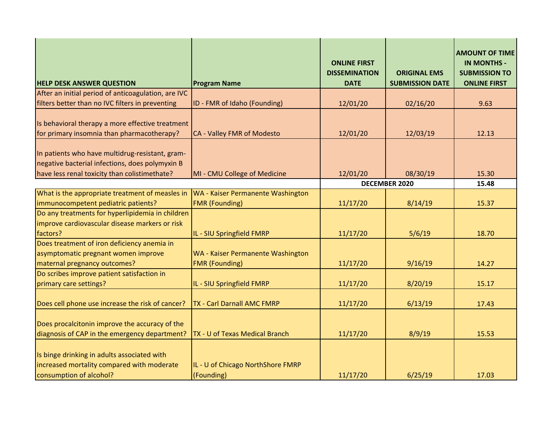| <b>HELP DESK ANSWER QUESTION</b>                                                                                                                    | <b>Program Name</b>                                        | <b>ONLINE FIRST</b><br><b>DISSEMINATION</b><br><b>DATE</b> | <b>ORIGINAL EMS</b><br><b>SUBMISSION DATE</b> | <b>AMOUNT OF TIME</b><br><b>IN MONTHS -</b><br><b>SUBMISSION TO</b><br><b>ONLINE FIRST</b> |
|-----------------------------------------------------------------------------------------------------------------------------------------------------|------------------------------------------------------------|------------------------------------------------------------|-----------------------------------------------|--------------------------------------------------------------------------------------------|
| After an initial period of anticoagulation, are IVC                                                                                                 |                                                            |                                                            |                                               |                                                                                            |
| filters better than no IVC filters in preventing                                                                                                    | ID - FMR of Idaho (Founding)                               | 12/01/20                                                   | 02/16/20                                      | 9.63                                                                                       |
| Is behavioral therapy a more effective treatment<br>for primary insomnia than pharmacotherapy?                                                      | CA - Valley FMR of Modesto                                 | 12/01/20                                                   | 12/03/19                                      | 12.13                                                                                      |
| In patients who have multidrug-resistant, gram-<br>negative bacterial infections, does polymyxin B<br>have less renal toxicity than colistimethate? | MI - CMU College of Medicine                               | 12/01/20                                                   | 08/30/19                                      | 15.30                                                                                      |
|                                                                                                                                                     |                                                            |                                                            | <b>DECEMBER 2020</b>                          | 15.48                                                                                      |
| What is the appropriate treatment of measles in                                                                                                     | WA - Kaiser Permanente Washington                          |                                                            |                                               |                                                                                            |
| immunocompetent pediatric patients?                                                                                                                 | <b>FMR</b> (Founding)                                      | 11/17/20                                                   | 8/14/19                                       | 15.37                                                                                      |
| Do any treatments for hyperlipidemia in children<br>improve cardiovascular disease markers or risk<br>factors?                                      | IL - SIU Springfield FMRP                                  | 11/17/20                                                   | 5/6/19                                        | 18.70                                                                                      |
| Does treatment of iron deficiency anemia in<br>asymptomatic pregnant women improve<br>maternal pregnancy outcomes?                                  | WA - Kaiser Permanente Washington<br><b>FMR (Founding)</b> | 11/17/20                                                   | 9/16/19                                       | 14.27                                                                                      |
| Do scribes improve patient satisfaction in<br>primary care settings?                                                                                | IL - SIU Springfield FMRP                                  | 11/17/20                                                   | 8/20/19                                       | 15.17                                                                                      |
| Does cell phone use increase the risk of cancer?                                                                                                    | TX - Carl Darnall AMC FMRP                                 | 11/17/20                                                   | 6/13/19                                       | 17.43                                                                                      |
| Does procalcitonin improve the accuracy of the<br>diagnosis of CAP in the emergency department?                                                     | TX - U of Texas Medical Branch                             | 11/17/20                                                   | 8/9/19                                        | 15.53                                                                                      |
| Is binge drinking in adults associated with<br>increased mortality compared with moderate<br>consumption of alcohol?                                | IL - U of Chicago NorthShore FMRP<br>(Founding)            | 11/17/20                                                   | 6/25/19                                       | 17.03                                                                                      |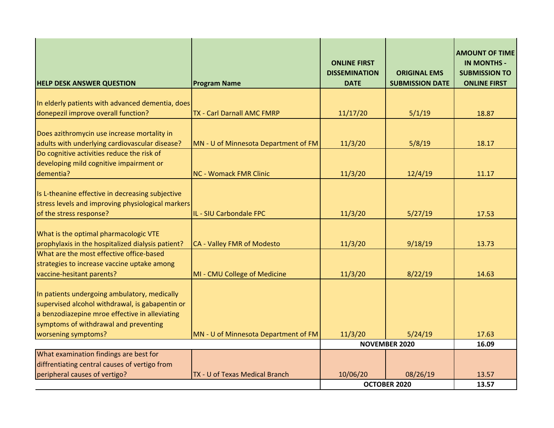| <b>HELP DESK ANSWER QUESTION</b>                                                                                                                                                           | <b>Program Name</b>                  | <b>ONLINE FIRST</b><br><b>DISSEMINATION</b><br><b>DATE</b> | <b>ORIGINAL EMS</b><br><b>SUBMISSION DATE</b> | <b>AMOUNT OF TIME</b><br><b>IN MONTHS -</b><br><b>SUBMISSION TO</b><br><b>ONLINE FIRST</b> |
|--------------------------------------------------------------------------------------------------------------------------------------------------------------------------------------------|--------------------------------------|------------------------------------------------------------|-----------------------------------------------|--------------------------------------------------------------------------------------------|
|                                                                                                                                                                                            |                                      |                                                            |                                               |                                                                                            |
| In elderly patients with advanced dementia, does<br>donepezil improve overall function?                                                                                                    | <b>TX - Carl Darnall AMC FMRP</b>    | 11/17/20                                                   | 5/1/19                                        | 18.87                                                                                      |
|                                                                                                                                                                                            |                                      |                                                            |                                               |                                                                                            |
| Does azithromycin use increase mortality in                                                                                                                                                |                                      |                                                            |                                               |                                                                                            |
| adults with underlying cardiovascular disease?                                                                                                                                             | MN - U of Minnesota Department of FM | 11/3/20                                                    | 5/8/19                                        | 18.17                                                                                      |
| Do cognitive activities reduce the risk of                                                                                                                                                 |                                      |                                                            |                                               |                                                                                            |
| developing mild cognitive impairment or                                                                                                                                                    |                                      |                                                            |                                               |                                                                                            |
| dementia?                                                                                                                                                                                  | <b>NC - Womack FMR Clinic</b>        | 11/3/20                                                    | 12/4/19                                       | 11.17                                                                                      |
| Is L-theanine effective in decreasing subjective<br>stress levels and improving physiological markers<br>of the stress response?                                                           | IL - SIU Carbondale FPC              | 11/3/20                                                    | 5/27/19                                       | 17.53                                                                                      |
|                                                                                                                                                                                            |                                      |                                                            |                                               |                                                                                            |
| What is the optimal pharmacologic VTE                                                                                                                                                      |                                      |                                                            |                                               |                                                                                            |
| prophylaxis in the hospitalized dialysis patient?                                                                                                                                          | CA - Valley FMR of Modesto           | 11/3/20                                                    | 9/18/19                                       | 13.73                                                                                      |
| What are the most effective office-based                                                                                                                                                   |                                      |                                                            |                                               |                                                                                            |
| strategies to increase vaccine uptake among<br>vaccine-hesitant parents?                                                                                                                   |                                      |                                                            | 8/22/19                                       | 14.63                                                                                      |
|                                                                                                                                                                                            | MI - CMU College of Medicine         | 11/3/20                                                    |                                               |                                                                                            |
| In patients undergoing ambulatory, medically<br>supervised alcohol withdrawal, is gabapentin or<br>a benzodiazepine mroe effective in alleviating<br>symptoms of withdrawal and preventing |                                      |                                                            |                                               |                                                                                            |
| worsening symptoms?                                                                                                                                                                        | MN - U of Minnesota Department of FM | 11/3/20                                                    | 5/24/19                                       | 17.63                                                                                      |
|                                                                                                                                                                                            |                                      | <b>NOVEMBER 2020</b>                                       |                                               | 16.09                                                                                      |
| What examination findings are best for                                                                                                                                                     |                                      |                                                            |                                               |                                                                                            |
| diffrentiating central causes of vertigo from<br>peripheral causes of vertigo?                                                                                                             | TX - U of Texas Medical Branch       | 10/06/20                                                   | 08/26/19                                      | 13.57                                                                                      |
|                                                                                                                                                                                            |                                      |                                                            | OCTOBER 2020                                  | 13.57                                                                                      |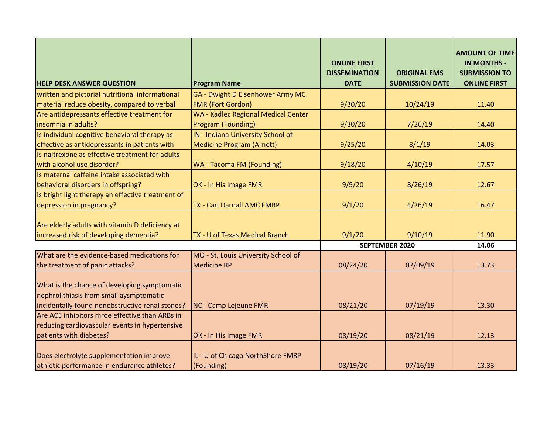| <b>HELP DESK ANSWER QUESTION</b>                                                                                                           | <b>Program Name</b>                        | <b>ONLINE FIRST</b><br><b>DISSEMINATION</b><br><b>DATE</b> | <b>ORIGINAL EMS</b><br><b>SUBMISSION DATE</b> | <b>AMOUNT OF TIME</b><br><b>IN MONTHS -</b><br><b>SUBMISSION TO</b><br><b>ONLINE FIRST</b> |
|--------------------------------------------------------------------------------------------------------------------------------------------|--------------------------------------------|------------------------------------------------------------|-----------------------------------------------|--------------------------------------------------------------------------------------------|
| written and pictorial nutritional informational                                                                                            | GA - Dwight D Eisenhower Army MC           |                                                            |                                               |                                                                                            |
| material reduce obesity, compared to verbal                                                                                                | <b>FMR (Fort Gordon)</b>                   | 9/30/20                                                    | 10/24/19                                      | 11.40                                                                                      |
| Are antidepressants effective treatment for                                                                                                | <b>WA - Kadlec Regional Medical Center</b> |                                                            |                                               |                                                                                            |
| insomnia in adults?                                                                                                                        | Program (Founding)                         | 9/30/20                                                    | 7/26/19                                       | 14.40                                                                                      |
| Is individual cognitive behavioral therapy as                                                                                              | IN - Indiana University School of          |                                                            |                                               |                                                                                            |
| effective as antidepressants in patients with                                                                                              | <b>Medicine Program (Arnett)</b>           | 9/25/20                                                    | 8/1/19                                        | 14.03                                                                                      |
| Is naltrexone as effective treatment for adults                                                                                            |                                            |                                                            |                                               |                                                                                            |
| with alcohol use disorder?                                                                                                                 | <b>WA - Tacoma FM (Founding)</b>           | 9/18/20                                                    | 4/10/19                                       | 17.57                                                                                      |
| Is maternal caffeine intake associated with                                                                                                |                                            |                                                            |                                               |                                                                                            |
| behavioral disorders in offspring?                                                                                                         | OK - In His Image FMR                      | 9/9/20                                                     | 8/26/19                                       | 12.67                                                                                      |
| Is bright light therapy an effective treatment of                                                                                          |                                            |                                                            |                                               |                                                                                            |
| depression in pregnancy?                                                                                                                   | TX - Carl Darnall AMC FMRP                 | 9/1/20                                                     | 4/26/19                                       | 16.47                                                                                      |
|                                                                                                                                            |                                            |                                                            |                                               |                                                                                            |
| Are elderly adults with vitamin D deficiency at                                                                                            |                                            |                                                            |                                               |                                                                                            |
| increased risk of developing dementia?                                                                                                     | TX - U of Texas Medical Branch             | 9/1/20                                                     | 9/10/19                                       | 11.90                                                                                      |
|                                                                                                                                            |                                            | <b>SEPTEMBER 2020</b>                                      |                                               | 14.06                                                                                      |
| What are the evidence-based medications for                                                                                                | MO - St. Louis University School of        |                                                            |                                               |                                                                                            |
| the treatment of panic attacks?                                                                                                            | <b>Medicine RP</b>                         | 08/24/20                                                   | 07/09/19                                      | 13.73                                                                                      |
| What is the chance of developing symptomatic<br>nephrolithiasis from small aysmptomatic<br>incidentally found nonobstructive renal stones? | <b>NC - Camp Lejeune FMR</b>               | 08/21/20                                                   | 07/19/19                                      | 13.30                                                                                      |
| Are ACE inhibitors mroe effective than ARBs in                                                                                             |                                            |                                                            |                                               |                                                                                            |
| reducing cardiovascular events in hypertensive                                                                                             |                                            |                                                            |                                               |                                                                                            |
| patients with diabetes?                                                                                                                    | OK - In His Image FMR                      | 08/19/20                                                   | 08/21/19                                      | 12.13                                                                                      |
|                                                                                                                                            |                                            |                                                            |                                               |                                                                                            |
| Does electrolyte supplementation improve                                                                                                   | IL - U of Chicago NorthShore FMRP          |                                                            |                                               |                                                                                            |
| athletic performance in endurance athletes?                                                                                                | (Founding)                                 | 08/19/20                                                   | 07/16/19                                      | 13.33                                                                                      |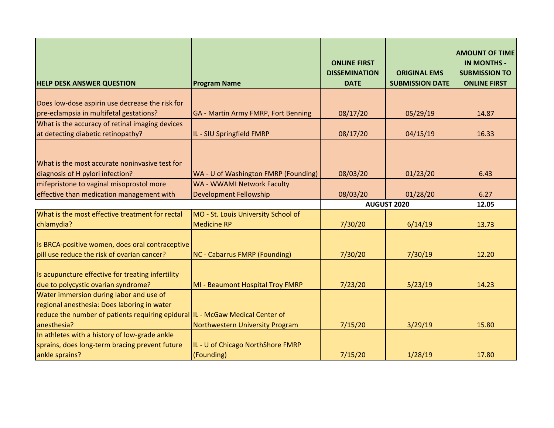| <b>HELP DESK ANSWER QUESTION</b>                                                                                  | <b>Program Name</b>                             | <b>ONLINE FIRST</b><br><b>DISSEMINATION</b><br><b>DATE</b> | <b>ORIGINAL EMS</b><br><b>SUBMISSION DATE</b> | <b>AMOUNT OF TIME</b><br><b>IN MONTHS -</b><br><b>SUBMISSION TO</b><br><b>ONLINE FIRST</b> |
|-------------------------------------------------------------------------------------------------------------------|-------------------------------------------------|------------------------------------------------------------|-----------------------------------------------|--------------------------------------------------------------------------------------------|
|                                                                                                                   |                                                 |                                                            |                                               |                                                                                            |
| Does low-dose aspirin use decrease the risk for<br>pre-eclampsia in multifetal gestations?                        | GA - Martin Army FMRP, Fort Benning             | 08/17/20                                                   | 05/29/19                                      | 14.87                                                                                      |
| What is the accuracy of retinal imaging devices                                                                   |                                                 |                                                            |                                               |                                                                                            |
| at detecting diabetic retinopathy?                                                                                | IL - SIU Springfield FMRP                       | 08/17/20                                                   | 04/15/19                                      | 16.33                                                                                      |
| What is the most accurate noninvasive test for<br>diagnosis of H pylori infection?                                | WA - U of Washington FMRP (Founding)            | 08/03/20                                                   | 01/23/20                                      | 6.43                                                                                       |
| mifepristone to vaginal misoprostol more                                                                          | WA - WWAMI Network Faculty                      |                                                            |                                               |                                                                                            |
| effective than medication management with                                                                         | Development Fellowship                          | 08/03/20                                                   | 01/28/20                                      | 6.27                                                                                       |
|                                                                                                                   |                                                 | <b>AUGUST 2020</b>                                         |                                               | 12.05                                                                                      |
| What is the most effective treatment for rectal                                                                   | MO - St. Louis University School of             |                                                            |                                               |                                                                                            |
| chlamydia?                                                                                                        | <b>Medicine RP</b>                              | 7/30/20                                                    | 6/14/19                                       | 13.73                                                                                      |
| Is BRCA-positive women, does oral contraceptive<br>pill use reduce the risk of ovarian cancer?                    | NC - Cabarrus FMRP (Founding)                   | 7/30/20                                                    | 7/30/19                                       | 12.20                                                                                      |
| Is acupuncture effective for treating infertility<br>due to polycystic ovarian syndrome?                          | MI - Beaumont Hospital Troy FMRP                | 7/23/20                                                    | 5/23/19                                       | 14.23                                                                                      |
| Water immersion during labor and use of<br>regional anesthesia: Does laboring in water                            |                                                 |                                                            |                                               |                                                                                            |
| reduce the number of patients requiring epidural IL - McGaw Medical Center of<br>anesthesia?                      | Northwestern University Program                 | 7/15/20                                                    | 3/29/19                                       | 15.80                                                                                      |
| In athletes with a history of low-grade ankle<br>sprains, does long-term bracing prevent future<br>ankle sprains? | IL - U of Chicago NorthShore FMRP<br>(Founding) | 7/15/20                                                    | 1/28/19                                       | 17.80                                                                                      |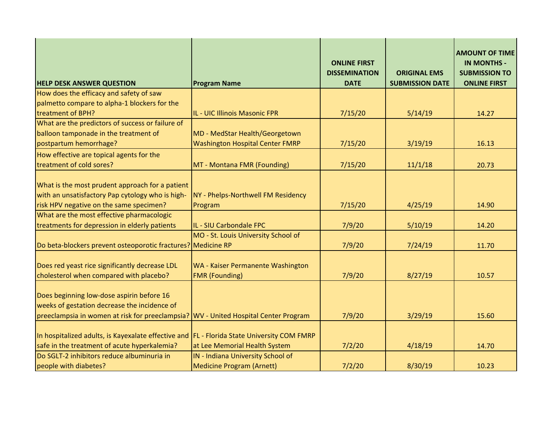| <b>HELP DESK ANSWER QUESTION</b>                                                                                                                                                 | <b>Program Name</b>                                               | <b>ONLINE FIRST</b><br><b>DISSEMINATION</b><br><b>DATE</b> | <b>ORIGINAL EMS</b><br><b>SUBMISSION DATE</b> | <b>AMOUNT OF TIME</b><br><b>IN MONTHS -</b><br><b>SUBMISSION TO</b><br><b>ONLINE FIRST</b> |
|----------------------------------------------------------------------------------------------------------------------------------------------------------------------------------|-------------------------------------------------------------------|------------------------------------------------------------|-----------------------------------------------|--------------------------------------------------------------------------------------------|
| How does the efficacy and safety of saw                                                                                                                                          |                                                                   |                                                            |                                               |                                                                                            |
| palmetto compare to alpha-1 blockers for the                                                                                                                                     |                                                                   |                                                            |                                               |                                                                                            |
| treatment of BPH?                                                                                                                                                                | IL - UIC Illinois Masonic FPR                                     | 7/15/20                                                    | 5/14/19                                       | 14.27                                                                                      |
| What are the predictors of success or failure of                                                                                                                                 |                                                                   |                                                            |                                               |                                                                                            |
| balloon tamponade in the treatment of                                                                                                                                            | MD - MedStar Health/Georgetown                                    |                                                            |                                               |                                                                                            |
| postpartum hemorrhage?                                                                                                                                                           | <b>Washington Hospital Center FMRP</b>                            | 7/15/20                                                    | 3/19/19                                       | 16.13                                                                                      |
| How effective are topical agents for the                                                                                                                                         |                                                                   |                                                            |                                               |                                                                                            |
| treatment of cold sores?                                                                                                                                                         | MT - Montana FMR (Founding)                                       | 7/15/20                                                    | 11/1/18                                       | 20.73                                                                                      |
| What is the most prudent approach for a patient<br>with an unsatisfactory Pap cytology who is high-<br>risk HPV negative on the same specimen?                                   | NY - Phelps-Northwell FM Residency<br>Program                     | 7/15/20                                                    | 4/25/19                                       | 14.90                                                                                      |
| What are the most effective pharmacologic                                                                                                                                        |                                                                   |                                                            |                                               |                                                                                            |
| treatments for depression in elderly patients                                                                                                                                    | IL - SIU Carbondale FPC                                           | 7/9/20                                                     | 5/10/19                                       | 14.20                                                                                      |
| Do beta-blockers prevent osteoporotic fractures? Medicine RP                                                                                                                     | MO - St. Louis University School of                               | 7/9/20                                                     | 7/24/19                                       | 11.70                                                                                      |
| Does red yeast rice significantly decrease LDL<br>cholesterol when compared with placebo?                                                                                        | <b>WA - Kaiser Permanente Washington</b><br><b>FMR</b> (Founding) | 7/9/20                                                     | 8/27/19                                       | 10.57                                                                                      |
| Does beginning low-dose aspirin before 16<br>weeks of gestation decrease the incidence of<br>preeclampsia in women at risk for preeclampsia? WV - United Hospital Center Program |                                                                   | 7/9/20                                                     | 3/29/19                                       | 15.60                                                                                      |
| In hospitalized adults, is Kayexalate effective and FL - Florida State University COM FMRP                                                                                       |                                                                   |                                                            |                                               |                                                                                            |
| safe in the treatment of acute hyperkalemia?                                                                                                                                     | at Lee Memorial Health System                                     | 7/2/20                                                     | 4/18/19                                       | 14.70                                                                                      |
| Do SGLT-2 inhibitors reduce albuminuria in                                                                                                                                       | IN - Indiana University School of                                 |                                                            |                                               |                                                                                            |
| people with diabetes?                                                                                                                                                            | <b>Medicine Program (Arnett)</b>                                  | 7/2/20                                                     | 8/30/19                                       | 10.23                                                                                      |